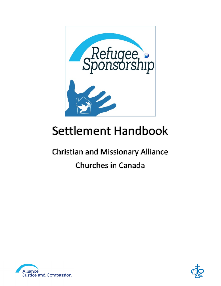

# Settlement Handbook

## Christian and Missionary Alliance Churches in Canada



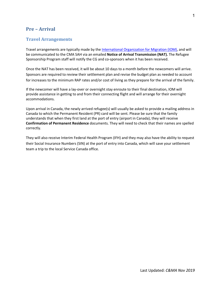#### <span id="page-3-0"></span>**Pre – Arrival**

#### **Travel Arrangements**

Travel arrangements are typically made by the [International Organization for Migration](https://www.iom.int/) (IOM), and will be communicated to the CMA SAH via an emailed **Notice of Arrival Transmission (NAT).** The Refugee Sponsorship Program staff will notify the CG and co-sponsors when it has been received.

Once the NAT has been received, it will be about 10 days to a month before the newcomers will arrive. Sponsors are required to review their settlement plan and revise the budget plan as needed to account for increases to the minimum RAP rates and/or cost of living as they prepare for the arrival of the family.

If the newcomer will have a lay-over or overnight stay enroute to their final destination, IOM will provide assistance in getting to and from their connecting flight and will arrange for their overnight accommodations.

Upon arrival in Canada, the newly arrived refugee(s) will usually be asked to provide a mailing address in Canada to which the Permanent Resident (PR) card will be sent. Please be sure that the family understands that when they first land at the port of entry (airport in Canada), they will receive **Confirmation of Permanent Residence** documents. They will need to check that their names are spelled correctly.

They will also receive Interim Federal Health Program (IFH) and they may also have the ability to request their Social Insurance Numbers (SIN) at the port of entry into Canada, which will save your settlement team a trip to the local Service Canada office.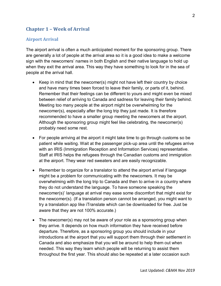## <span id="page-4-0"></span>**Chapter 1 – Week of Arrival**

#### <span id="page-4-1"></span>**Airport Arrival**

The airport arrival is often a much anticipated moment for the sponsoring group. There are generally a lot of people at the arrival area so it is a good idea to make a welcome sign with the newcomers' names in both English and their native language to hold up when they exit the arrival area. This way they have something to look for in the sea of people at the arrival hall.

- Keep in mind that the newcomer(s) might not have left their country by choice and have many times been forced to leave their family, or parts of it, behind. Remember that their feelings can be different to yours and might even be mixed between relief of arriving to Canada and sadness for leaving their family behind. Meeting too many people at the airport might be overwhelming for the newcomer(s), especially after the long trip they just made. It is therefore recommended to have a smaller group meeting the newcomers at the airport. Although the sponsoring group might feel like celebrating, the newcomer(s) probably need some rest.
- For people arriving at the airport it might take time to go through customs so be patient while waiting. Wait at the passenger pick-up area until the refugees arrive with an IRIS (Immigration Reception and Information Services) representative. Staff at IRIS helps the refugees through the Canadian customs and immigration at the airport. They wear red sweaters and are easily recognizable.
- Remember to organize for a translator to attend the airport arrival if language might be a problem for communicating with the newcomers. It may be overwhelming with the long trip to Canada and then to arrive in a country where they do not understand the language. To have someone speaking the newcomer(s)' language at arrival may ease some discomfort that might exist for the newcomer(s). (If a translation person cannot be arranged, you might want to try a translation app like iTranslate which can be downloaded for free. Just be aware that they are not 100% accurate.)
- The newcomer(s) may not be aware of your role as a sponsoring group when they arrive. It depends on how much information they have received before departure. Therefore, as a sponsoring group you should include in your introductions at the airport that you will support them through their settlement in Canada and also emphasize that you will be around to help them out when needed. This way they learn which people will be returning to assist them throughout the first year. This should also be repeated at a later occasion such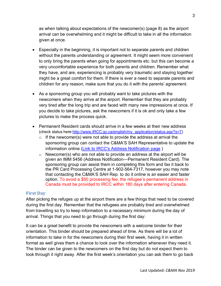as when talking about expectations of the newcomer(s) (page 8) as the airport arrival can be overwhelming and it might be difficult to take in all the information given at once.

- Especially in the beginning, it is important not to separate parents and children without the parents understanding or agreement. It might seem more convenient to only bring the parents when going for appointments etc. but this can become a very uncomfortable experience for both parents and children. Remember what they have, and are, experiencing is probably very traumatic and staying together might be a great comfort for them. If there is ever a need to separate parents and children for any reason, make sure that you do it with the parents' agreement.
- As a sponsoring group you will probably want to take pictures with the newcomers when they arrive at the airport. Remember that they are probably very tired after the long trip and are faced with many new impressions at once. If you decide to take pictures, ask the newcomers if it is ok and only take a few pictures to make the process quick.
- Permanent Resident cards should arrive in a few weeks at their new address (check status here[:http://www.IRCC.gc.ca/english/my\\_application/status.asp?s=7\)](http://www.ircc.gc.ca/english/my_application/status.asp?s=7)
	- $\circ$  If the newcomer(s) were not able to provide the address at arrival the sponsoring group can contact the C&MA'S SAH Representative to update the information online [\(Link to IRCC's Address Notification page](https://services3.cic.gc.ca/ecas/?app=coanotify&lang=en&_ga=1.236556801.1897246572.1412707508))
	- o Newcomer(s) who are not able to provide an address at the airport will be given an IMM 5456 (Address Notification—Permanent Resident Card). The sponsoring group can assist them in completing this form and fax it back to the PR Card Processing Centre at 1-902-564-7317, however you may note that contacting the C&MA'S SAH Rep. to do it online is an easier and faster option. To avoid a \$50 processing fee, the refugee's permanent address in Canada must be provided to IRCC within 180 days after entering Canada.

#### <span id="page-5-0"></span>**First Day**

After picking the refuges up at the airport there are a few things that need to be covered during the first day. Remember that the refugees are probably tired and overwhelmed from travelling so try to keep information to a necessary minimum during the day of arrival. Things that you need to go through during the first day:

It can be a great benefit to provide the newcomers with a welcome binder for their orientation. This binder should be prepared ahead of time. As there will be a lot of information to take in for the newcomers during their first week, having it in written format as well gives them a chance to look over the information whenever they need it. The binder can be given to the newcomers on the first day but do not expect them to look through it right away. After the first week's orientation you can ask them to go back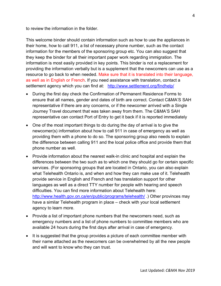to review the information in the folder.

This welcome binder should contain information such as how to use the appliances in their home, how to call 911, a list of necessary phone number, such as the contact information for the members of the sponsoring group etc. You can also suggest that they keep the binder for all their important paper work regarding immigration. The information is most easily provided in key points. This binder is not a replacement for providing the information verbally but is a supplement that the newcomers can use as a resource to go back to when needed. Make sure that it is translated into their language, as well as in English or French. If you need assistance with translation, contact a settlement agency which you can find at: <http://www.settlement.org/findhelp/>

- During the first day check the Confirmation of Permanent Residence Forms to ensure that all names, gender and dates of birth are correct. Contact C&MA'S SAH representative if there are any concerns, or if the newcomer arrived with a Single Journey Travel document that was taken away from them. The C&MA'S SAH representative can contact Port of Entry to get it back if it is reported immediately
- One of the most important things to do during the day of arrival is to give the newcomer(s) information about how to call 911 in case of emergency as well as providing them with a phone to do so. The sponsoring group also needs to explain the difference between calling 911 and the local police office and provide them that phone number as well.
- Provide information about the nearest walk-in clinic and hospital and explain the differences between the two such as to which one they should go for certain specific services. (For sponsoring groups that are located in Ontario, you can also explain what Telehealth Ontario is, and when and how they can make use of it. Telehealth provide service in English and French and has translation support for other languages as well as a direct TTY number for people with hearing and speech difficulties. You can find more information about Telehealth here: <http://www.health.gov.on.ca/en/public/programs/telehealth/>) Other provinces may have a similar Telehealth program in place – check with your local settlement agency to learn more.
- Provide a list of important phone numbers that the newcomers need, such as emergency numbers and a list of phone numbers to committee members who are available 24 hours during the first days after arrival in case of emergency.
- It is suggested that the group provides a picture of each committee member with their name attached as the newcomers can be overwhelmed by all the new people and will want to know who they can trust.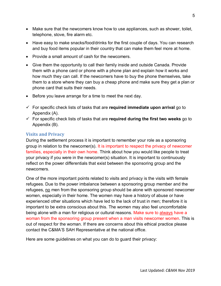- Make sure that the newcomers know how to use appliances, such as shower, toilet, telephone, stove, fire alarm etc.
- Have easy to make snacks/food/drinks for the first couple of days. You can research and buy food items popular in their country that can make them feel more at home.
- Provide a small amount of cash for the newcomers.
- Give them the opportunity to call their family inside and outside Canada. Provide them with a phone card or phone with a phone plan and explain how it works and how much they can call. If the newcomers have to buy the phone themselves, take them to a store where they can buy a cheap phone and make sure they get a plan or phone card that suits their needs.
- Before you leave arrange for a time to meet the next day.
- For specific check lists of tasks that are **required immediate upon arrival** go to Appendix (A).
- For specific check lists of tasks that are **required during the first two weeks** go to Appendix (B).

#### <span id="page-7-0"></span>**Visits and Privacy**

During the settlement process it is important to remember your role as a sponsoring group in relation to the newcomer(s). It is important to respect the privacy of newcomer families, especially in their own home. Think about how you would like people to treat your privacy if you were in the newcomer(s) situation. It is important to continuously reflect on the power differentials that exist between the sponsoring group and the newcomers.

One of the more important points related to visits and privacy is the visits with female refugees. Due to the power imbalance between a sponsoring group member and the refugees, no men from the sponsoring group should be alone with sponsored newcomer women, especially in their home. The women may have a history of abuse or have experienced other situations which have led to the lack of trust in men; therefore it is important to be extra conscious about this. The women may also feel uncomfortable being alone with a man for religious or cultural reasons. Make sure to always have a woman from the sponsoring group present when a man visits newcomer women. This is out of respect for the woman. If there are concerns about this ethical practice please contact the C&MA'S SAH Representative at the national office.

Here are some guidelines on what you can do to guard their privacy: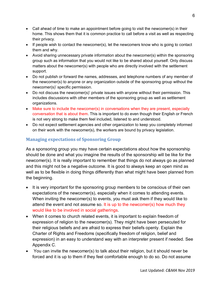- Call ahead of time to make an appointment before going to visit the newcomer(s) in their home. This shows them that it is common practice to call before a visit as well as respecting their privacy.
- If people wish to contact the newcomer(s), let the newcomers know who is going to contact them and why.
- Avoid sharing unnecessary private information about the newcomer(s) within the sponsoring group such as information that you would not like to be shared about yourself. Only discuss matters about the newcomer(s) with people who are directly involved with the settlement support.
- Do not publish or forward the names, addresses, and telephone numbers of any member of the newcomer(s) to anyone or any organization outside of the sponsoring group without the newcomer(s)' specific permission.
- Do not discuss the newcomer(s)' private issues with anyone without their permission. This includes discussions with other members of the sponsoring group as well as settlement organizations.
- Make sure to include the newcomer(s) in conversations when they are present, especially conversation that is about them. This is important to do even though their English or French is not very strong to make them feel included, listened to and understood.
- Do not expect settlement agencies and other organization to keep you completely informed on their work with the newcomer(s), the workers are bound by privacy legislation.

## <span id="page-8-0"></span>**Managing expectations of Sponsoring Group**

As a sponsoring group you may have certain expectations about how the sponsorship should be done and what you imagine the results of the sponsorship will be like for the newcomer(s). It is really important to remember that things do not always go as planned and this might not be a negative outcome. It is good to always keep an open mind as well as to be flexible in doing things differently than what might have been planned from the beginning.

- It is very important for the sponsoring group members to be conscious of their own expectations of the newcomer(s), especially when it comes to attending events. When inviting the newcomer(s) to events, you must ask them if they would like to attend the event and not assume so. It is up to the newcomer(s) how much they would like to be involved in social gatherings.
- When it comes to church related events, it is important to explain freedom of expression of religion to the newcomer(s). They might have been persecuted for their religious beliefs and are afraid to express their beliefs openly. Explain the Charter of Rights and Freedoms (specifically freedom of religion, belief and expression) in an easy to understand way with an interpreter present if needed. See Appendix C.
- You can invite the newcomer(s) to talk about their religion, but it should never be forced and it is up to them if they feel comfortable enough to do so. Do not assume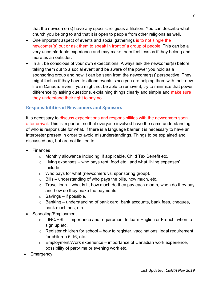that the newcomer(s) have any specific religious affiliation. You can describe what church you belong to and that it is open to people from other religions as well.

- One important aspect of events and social gatherings is to not single the newcomer(s) out or ask them to speak in front of a group of people. This can be a very uncomfortable experience and may make them feel less as if they belong and more as an outsider.
- In all, be conscious of your own expectations. Always ask the newcomer(s) before taking them out to a social event and be aware of the power you hold as a sponsoring group and how it can be seen from the newcomer(s)' perspective. They might feel as if they have to attend events since you are helping them with their new life in Canada. Even if you might not be able to remove it, try to minimize that power difference by asking questions, explaining things clearly and simple and make sure they understand their right to say no.

#### <span id="page-9-0"></span>**Responsibilities of Newcomers and Sponsors**

It is necessary to discuss expectations and responsibilities with the newcomers soon after arrival. This is important so that everyone involved have the same understanding of who is responsible for what. If there is a language barrier it is necessary to have an interpreter present in order to avoid misunderstandings. Things to be explained and discussed are, but are not limited to:

- Finances
	- o Monthly allowance including, if applicable, Child Tax Benefit etc.
	- $\circ$  Living expenses who pays rent, food etc., and what 'living expenses' include.
	- o Who pays for what (newcomers vs. sponsoring group).
	- $\circ$  Bills understanding of who pays the bills, how much, etc.
	- $\circ$  Travel loan what is it, how much do they pay each month, when do they pay and how do they make the payments.
	- $\circ$  Savings if possible.
	- o Banking understanding of bank card, bank accounts, bank fees, cheques, bank machines, etc.
- Schooling/Employment
	- $\circ$  LINC/ESL importance and requirement to learn English or French, when to sign up etc.
	- $\circ$  Register children for school how to register, vaccinations, legal requirement for children 6-16, etc.
	- $\circ$  Employment/Work experience importance of Canadian work experience, possibility of part-time or evening work etc.
- **Emergency**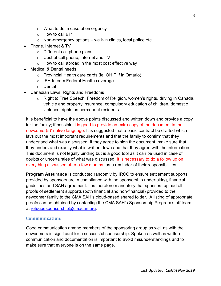- o What to do in case of emergency
- o How to call 911
- $\circ$  Non-emergency options walk-in clinics, local police etc.
- Phone, internet & TV
	- o Different cell phone plans
	- o Cost of cell phone, internet and TV
	- $\circ$  How to call abroad in the most cost effective way
- Medical & Dental needs
	- o Provincial Health care cards (ie. OHIP if in Ontario)
	- o IFH-Interim Federal Health coverage
	- o Dental
- Canadian Laws, Rights and Freedoms
	- $\circ$  Right to Free Speech, Freedom of Religion, women's rights, driving in Canada, vehicle and property insurance, compulsory education of children, domestic violence, rights as permanent residents

It is beneficial to have the above points discussed and written down and provide a copy for the family; if possible it is good to provide an extra copy of the document in the newcomer(s)' native language. It is suggested that a basic contract be drafted which lays out the most important requirements and that the family to confirm that they understand what was discussed. If they agree to sign the document, make sure that they understand exactly what is written down and that they agree with the information. This document is not legally binding but is a good tool as it can be used in case of doubts or uncertainties of what was discussed. It is necessary to do a follow up on everything discussed after a few months, as a reminder of their responsibilities.

**Program Assurance** is conducted randomly by IRCC to ensure settlement supports provided by sponsors are in compliance with the sponsorship undertaking, financial guidelines and SAH agreement. It is therefore mandatory that sponsors upload all proofs of settlement supports (both financial and non-financial) provided to the newcomer family to the CMA SAH's cloud-based shared folder. A listing of appropriate proofs can be obtained by contacting the CMA SAH's Sponsorship Program staff team at [refugeesponsorship@cmacan.org.](mailto:refugeesponsorship@cmacan.org)

#### <span id="page-10-0"></span>**Communication:**

Good communication among members of the sponsoring group as well as with the newcomers is significant for a successful sponsorship. Spoken as well as written communication and documentation is important to avoid misunderstandings and to make sure that everyone is on the same page.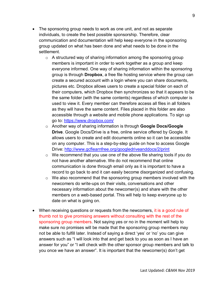- The sponsoring group needs to work as one unit, and not as separate individuals, to create the best possible sponsorship. Therefore, clear communication and documentation will help keep everyone in the sponsoring group updated on what has been done and what needs to be done in the settlement.
	- $\circ$  A structured way of sharing information among the sponsoring group members is important in order to work together as a group and keep everyone informed. One way of sharing information within the sponsoring group is through **Dropbox**, a free file hosting service where the group can create a secured account with a login where you can share documents, pictures etc. Dropbox allows users to create a special folder on each of their computers, which Dropbox then synchronizes so that it appears to be the same folder (with the same contents) regardless of which computer is used to view it. Every member can therefore access all files in all folders as they will have the same content. Files placed in this folder are also accessible through a website and mobile phone applications. To sign up go to:<https://www.dropbox.com/>
	- o Another way of sharing information is through **Google Docs/Google Drive**. Google Docs/Drive is a free, online service offered by Google. It allows users to create and edit documents online so it can be accessible on any computer. This is a step-by-step guide on how to access Google Drive:<http://www.gcflearnfree.org/googledriveanddocs/2/print>
	- o We recommend that you use one of the above file sharing tools if you do not have another alternative. We do not recommend that online communication is done through email only as it is important to have a record to go back to and it can easily become disorganized and confusing.
	- $\circ$  We also recommend that the sponsoring group members involved with the newcomers do write-ups on their visits, conversations and other necessary information about the newcomer(s) and share with the other members on a web-based portal. This will help to keep everyone up to date on what is going on.
- When receiving questions or requests from the newcomers, it is a good rule of thumb not to give promising answers without consulting with the rest of the sponsoring group members. Not saying yes or no in the moment will help to make sure no promises will be made that the sponsoring group members may not be able to fulfill later. Instead of saying a direct 'yes' or 'no' you can give answers such as "I will look into that and get back to you as soon as I have an answer for you" or "I will check with the other sponsor group members and talk to you once we have an answer". It is important that the newcomer(s) don't get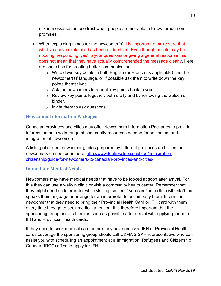mixed messages or lose trust when people are not able to follow through on promises.

- When explaining things for the newcomer(s) it is important to make sure that what you have explained has been understood. Even though people may be nodding, responding 'yes' to your questions or giving a general response this does not mean that they have actually comprehended the message clearly. Here are some tips for creating better communication:
	- o Write down key points in both English (or French as applicable) and the newcomer(s)' language, or if possible ask them to write down the key points themselves.
	- o Ask the newcomers to repeat key points back to you.
	- $\circ$  Review key points together, both orally and by reviewing the welcome binder.
	- o Invite them to ask questions.

#### **Newcomer Information Packages**

Canadian provinces and cities may offer Newcomers Information Packages to provide information on a wide range of community resources needed for settlement and integration of newcomers.

A listing of current newcomer guides prepared by different provinces and cities for newcomers can be found here: [http://www.toptipsclub.com/blog/immigration](http://www.toptipsclub.com/blog/immigration-citizenship/guide-for-newcomers-to-canadian-provinces-and-cities/)[citizenship/guide-for-newcomers-to-canadian-provinces-and-cities/](http://www.toptipsclub.com/blog/immigration-citizenship/guide-for-newcomers-to-canadian-provinces-and-cities/)

#### **Immediate Medical Needs**

Newcomers may have medical needs that have to be looked at soon after arrival. For this they can use a walk-in clinic or visit a community health center. Remember that they might need an interpreter while visiting, so see if you can find a clinic with staff that speaks their language or arrange for an interpreter to accompany them. Inform the newcomer that they need to bring their Provincial Health Card or IFH card with them every time they go to seek medical attention. It is therefore important that the sponsoring group assists them as soon as possible after arrival with applying for both IFH and Provincial Health cards.

If they need to seek medical care before they have received IFH or Provincial Health cards coverage the sponsoring group should call C&MA'S SAH representative who can assist you with scheduling an appointment at a Immigration, Refugees and Citizenship Canada (IRCC) office to apply for IFH.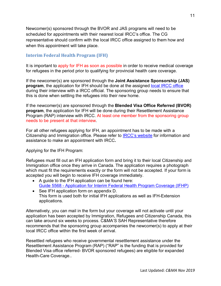Newcomer(s) sponsored through the BVOR and JAS programs will need to be scheduled for appointments with their nearest local IRCC's office. The CG representative should confirm with the local IRCC office assigned to them how and when this appointment will take place.

#### <span id="page-13-0"></span>**Interim Federal Health Program (IFH)**

It is important to apply for IFH as soon as possible in order to receive medical coverage for refugees in the period prior to qualifying for provincial health care coverage.

If the newcomer(s) are sponsored through the **Joint Assistance Sponsorship (JAS) program**, the application for IFH should be done at the assigned [local IRCC](http://www.cic.gc.ca/english/information/offices/help.asp) office during their interview with a IRCC official. The sponsoring group needs to ensure that this is done when settling the refugees into their new home.

If the newcomer(s) are sponsored through the **Blended Visa Office Referred (BVOR) program**, the application for IFH will be done during their Resettlement Assistance Program (RAP) interview with IRCC. At least one member from the sponsoring group needs to be present at that interview.

For all other refugees applying for IFH, an appointment has to be made with a Citizenship and Immigration office. Please refer to [IRCC's website](http://www.cic.gc.ca/english/information/offices/help.asp) for information and assistance to make an appointment with IRCC**.**

Applying for the IFH Program:

Refugees must fill out an IFH application form and bring it to their local Citizenship and Immigration office once they arrive in Canada. The application requires a photograph which must fit the requirements exactly or the form will not be accepted. If your form is accepted you will begin to receive IFH coverage immediately.

- A guide to the IFH application can be found here: Guide 5568 - [Application for Interim Federal Health Program Coverage \(IFHP\)](http://www.cic.gc.ca/english/information/applications/guides/5568ETOC.asp)
- See IFH application form on appendix D. This form is used both for initial IFH applications as well as IFH-Extension applications.

Alternatively, you can mail in the form but your coverage will not activate until your application has been accepted by Immigration, Refugees and Citizenship Canada, this can take around six weeks to process. C&MA'S SAH Representative therefore recommends that the sponsoring group accompanies the newcomer(s) to apply at their local IRCC office within the first week of arrival.

Resettled refugees who receive governmental resettlement assistance under the Resettlement Assistance Program (RAP) ("RAP" is the funding that is provided for Blended Visa office referred- BVOR sponsored refugees) are eligible for expanded Health-Care Coverage..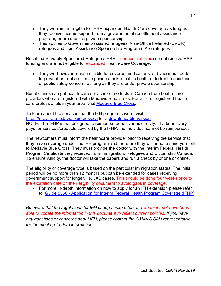- They will remain eligible for IFHP expanded Health-Care coverage as long as they receive income support from a governmental resettlement assistance program, or are under a private sponsorship.
- This applies to Government-assisted refugees; Visa-Office Referred (BVOR) refugees and Joint Assistance Sponsorship Program (JAS) refugees.

Resettled Privately Sponsored Refugees (PSR – sponsor-referred) do not receive RAP funding and are **not** eligible for expanded Health-Care Coverage.

• They will however remain eligible for covered medications and vaccines needed to prevent or treat a disease posing a risk to public health or to treat a condition of public safety concern, as long as they are under private sponsorship.

Beneficiaries can get health-care services or products in Canada from health-care providers who are registered with Medavie Blue Cross. For a list of registered healthcare professionals in your area, visit [Medavie Blue Cross.](http://www.ifhp-pfsi.ca/)

To learn about the services that the IFH program covers, visit: [https://provider.medavie.bluecross.ca](https://provider.medavie.bluecross.ca/) for a [downloadable version.](https://www.medavie.bluecross.ca/cs/BlobServer?blobcol=urldata&blobtable=MungoBlobs&blobheadervalue2=abinary%3B+charset%3DUTF-8&blobheadername2=MDT-Type&blobkey=id&blobwhere=1187213437656&blobheader=application%2Fpdf) NOTE: The IFHP is not designed to reimburse beneficiaries directly. If a beneficiary pays for services/products covered by the IFHP, the individual cannot be reimbursed.

The newcomers must inform the healthcare provider prior to receiving the service that they have coverage under the IFH program and therefore they will need to send your bill to Medavie Blue Cross. They must provide the doctor with the Interim Federal Health Program Certificate they received from Immigration, Refugees and Citizenship Canada. To ensure validity, the doctor will take the papers and run a check by phone or online.

The eligibility or coverage type is based on the particular immigration status. The initial period will be no more than 12 months but can be extended for cases receiving government support for longer, i.e. JAS cases. This should be done four weeks prior to the expiration date on their eligibility document to avoid gaps in coverage.

• For more in-depth information on how to apply for an IFH extension please refer to: Guide 5568 - [Application for Interim Federal Health Program Coverage \(IFHP\)](http://www.cic.gc.ca/english/information/applications/guides/5568ETOC.asp)

<span id="page-14-0"></span>*Be aware that the regulations for IFH change quite often and we might not have been able to update the information in this document to reflect current policies. If you have any questions or concerns about IFH, please contact the C&MA'S SAH representative for the most up-to-date information.*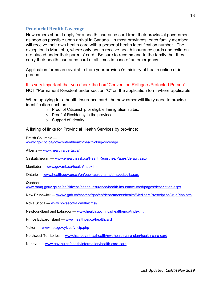#### **Provincial Health Coverage**

Newcomers should apply for a health insurance card from their provincial government as soon as possible upon arrival in Canada. In most provinces, each family member will receive their own health card with a personal health identification number. The exception is Manitoba, where only adults receive health insurance cards and children are placed under their parents' card. Be sure to recommend to the family that they carry their health insurance card at all times in case of an emergency.

Application forms are available from your province's ministry of health online or in person.

It is very important that you check the box "Convention Refugee /Protected Person", NOT "Permanent Resident under section "C" on the application form where applicable!

When applying for a health insurance card, the newcomer will likely need to provide identification such as

- o Proof of Citizenship or eligible Immigration status.
- o Proof of Residency in the province.
- o Support of Identity.

A listing of links for Provincial Health Services by province:

British Columbia [www2.gov.bc.ca/gov/content/health/health-drug-coverage](http://www2.gov.bc.ca/gov/content/health/health-drug-coverage)

Alberta — [www.health.alberta.ca/](http://www.health.alberta.ca/)

Saskatchewan — [www.ehealthsask.ca/HealthRegistries/Pages/default.aspx](http://www.ehealthsask.ca/HealthRegistries/Pages/default.aspx)

Manitoba — [www.gov.mb.ca/health/index.html](http://www.gov.mb.ca/health/index.html)

Ontario — [www.health.gov.on.ca/en/public/programs/ohip/default.aspx](http://www.health.gov.on.ca/en/public/programs/ohip/default.aspx)

Quebec —

[www.ramq.gouv.qc.ca/en/citizens/health-insurance/health-insurance-card/pages/description.aspx](http://www.ramq.gouv.qc.ca/en/citizens/health-insurance/health-insurance-card/pages/description.aspx)

New Brunswick — [www2.gnb.ca/content/gnb/en/departments/health/MedicarePrescriptionDrugPlan.html](file://fileserver/Data_NMC/Departments/Justice%20and%20Compassion/Refugee%20Sponsorship/1_SAH_Admin/www2.gnb.ca/content/gnb/en/departments/health/MedicarePrescriptionDrugPlan.html)

Nova Scotia — [www.novascotia.ca/dhw/msi/](http://www.novascotia.ca/dhw/msi/)

Newfoundland and Labrador — [www.health.gov.nl.ca/health/mcp/index.html](http://www.health.gov.nl.ca/health/mcp/index.html)

Prince Edward Island — [www.healthpei.ca/healthcard](http://www.healthpei.ca/healthcard)

Yukon — [www.hss.gov.yk.ca/yhcip.php](http://www.hss.gov.yk.ca/yhcip.php)

Northwest Territories — [www.hss.gov.nt.ca/health/nwt-health-care-plan/health-care-card](http://www.hss.gov.nt.ca/health/nwt-health-care-plan/health-care-card)

Nunavut — [www.gov.nu.ca/health/information/health-care-card](http://www.gov.nu.ca/health/information/health-care-card)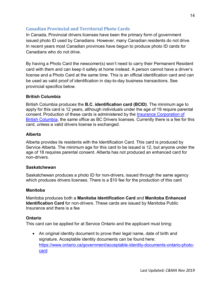#### <span id="page-16-0"></span>**Canadian Provincial and Territorial Photo Cards**

In Canada, Provincial drivers licenses have been the primary form of government issued photo ID used by Canadians. However, many Canadian residents do not drive. In recent years most Canadian provinces have begun to produce photo ID cards for Canadians who do not drive.

By having a Photo Card the newcomer(s) won't need to carry their Permanent Resident card with them and can keep it safely at home instead. A person cannot have a driver's license and a Photo Card at the same time. This is an official identification card and can be used as valid proof of identification in day-to-day business transactions. See provincial specifics below.

#### **British Columbia**

British Columbia produces the **B.C. identification card (BCID)**. The minimum age to apply for this card is 12 years, although individuals under the age of 19 require parental consent. Production of these cards is administered by the [Insurance Corporation of](http://en.wikipedia.org/wiki/Insurance_Corporation_of_British_Columbia)  [British Columbia,](http://en.wikipedia.org/wiki/Insurance_Corporation_of_British_Columbia) the same office as BC Drivers licenses. Currently there is a fee for this card, unless a valid drivers license is exchanged.

#### **Alberta**

Alberta provides its residents with the Identification Card. This card is produced by Service Alberta. The minimum age for this card to be issued is 12, but anyone under the age of 18 requires parental consent. Alberta has not produced an enhanced card for non-drivers.

#### **Saskatchewan**

Saskatchewan produces a photo ID for non-drivers, issued through the same agency which produces drivers licenses. There is a \$10 fee for the production of this card

#### **Manitoba**

Manitoba produces both a **Manitoba Identification Card** and **Manitoba Enhanced Identification Card** for non-drivers. These cards are issued by Manitoba Public Insurance and there is a fee

#### **Ontario**

This card can be applied for at Service Ontario and the applicant must bring:

• An original identity document to prove their legal name, date of birth and signature. Acceptable identity documents can be found here: [https://www.ontario.ca/government/acceptable-identity-documents-ontario-photo](https://www.ontario.ca/government/acceptable-identity-documents-ontario-photo-card)[card](https://www.ontario.ca/government/acceptable-identity-documents-ontario-photo-card)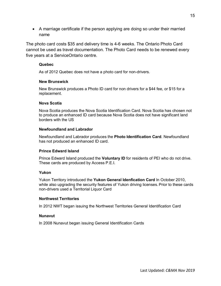• A marriage certificate if the person applying are doing so under their married name

The photo card costs \$35 and delivery time is 4-6 weeks. The Ontario Photo Card cannot be used as travel documentation. The Photo Card needs to be renewed every five years at a [ServiceOntario](http://en.wikipedia.org/wiki/ServiceOntario) centre.

#### **Quebec**

As of 2012 Quebec does not have a photo card for non-drivers.

#### **New Brunswick**

New Brunswick produces a Photo ID card for non drivers for a \$44 fee, or \$15 for a replacement.

#### **Nova Scotia**

Nova Scotia produces the Nova Scotia Identification Card. Nova Scotia has chosen not to produce an enhanced ID card because Nova Scotia does not have significant land borders with the US

#### **Newfoundland and Labrador**

Newfoundland and Labrador produces the **Photo Identification Card**. Newfoundland has not produced an enhanced ID card.

#### **Prince Edward Island**

Prince Edward Island produced the **Voluntary ID** for residents of PEI who do not drive. These cards are produced by Access P.E.I.

#### **Yukon**

Yukon Territory introduced the **Yukon General Idenfication Card** In October 2010, while also upgrading the security features of Yukon driving licenses. Prior to these cards non-drivers used a Territorial Liquor Card

#### **Northwest Territories**

In 2012 NWT began issuing the Northwest Territories General Identification Card

#### **Nunavut**

In 2008 Nunavut began issuing General Identification Cards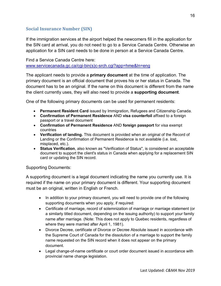#### <span id="page-18-0"></span>**Social Insurance Number (SIN)**

If the immigration services at the airport helped the newcomers fill in the application for the SIN card at arrival, you do not need to go to a Service Canada Centre. Otherwise an application for a SIN card needs to be done in person at a Service Canada Centre.

Find a Service Canada Centre here: [www.servicecanada.gc.ca/cgi-bin\(s\)c-srch.cgi?app=hme&ln=eng](http://www.servicecanada.gc.ca/cgi-bin(s)c-srch.cgi?app=hme&ln=eng)

The applicant needs to provide a **primary document** at the time of application. The primary document is an official document that proves his or her status in Canada. The document has to be an original. If the name on this document is different from the name the client currently uses, they will also need to provide a **supporting document**.

One of the following primary documents can be used for permanent residents:

- **Permanent Resident Card** issued by Immigration, Refugees and Citizenship Canada.
- **Confirmation of Permanent Residence** AND **visa counterfoil** affixed to a foreign passport or a travel document
- **Confirmation of Permanent Residence** AND **foreign passport** for visa exempt countries
- **Verification of landing.** This document is provided when an original of the Record of Landing or the Confirmation of Permanent Residence is not available (i.e. lost, misplaced, etc.).
- **Status Verification**, also known as "Verification of Status", is considered an acceptable document to support the client's status in Canada when applying for a replacement SIN card or updating the SIN record.

Supporting Documents:

A supporting document is a legal document indicating the name you currently use. It is required if the name on your primary document is different. Your supporting document must be an original, written in English or French.

- In addition to your primary document, you will need to provide one of the following supporting documents when you apply, if required:
- Certificate of marriage, record of solemnization of marriage or marriage statement (or a similarly titled document, depending on the issuing authority) to support your family name after marriage. (Note: This does not apply to Quebec residents, regardless of where they were married after April 1, 1981).
- Divorce Decree, certificate of Divorce or Decree Absolute issued in accordance with the Supreme Court of Canada for the dissolution of a marriage to support the family name requested on the SIN record when it does not appear on the primary document.
- Legal change-of-name certificate or court order document issued in accordance with provincial name change legislation.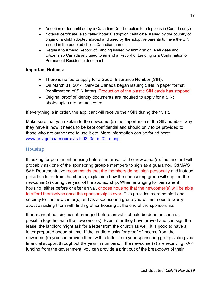- Adoption order certified by a Canadian Court (applies to adoptions in Canada only).
- Notarial certificate, also called notarial adoption certificate, issued by the country of origin of a child adopted abroad and used by the adoptive parents to have the SIN issued in the adopted child's Canadian name.
- Request to Amend Record of Landing issued by Immigration, Refugees and Citizenship Canada and used to amend a Record of Landing or a Confirmation of Permanent Residence document.

#### **Important Notices:**

- There is no fee to apply for a Social Insurance Number (SIN).
- On March 31, 2014, Service Canada began issuing SINs in paper format (confirmation of SIN letter). Production of the plastic SIN cards has stopped.
- Original proof of identity documents are required to apply for a SIN; photocopies are not accepted.

If everything is in order, the applicant will receive their SIN during their visit**.**

Make sure that you explain to the newcomer(s) the importance of the SIN number, why they have it, how it needs to be kept confidential and should only to be provided to those who are authorized to use it etc. More information can be found here: [www.priv.gc.ca/resource/fs-fi/02\\_05\\_d\\_02\\_e.asp](http://www.priv.gc.ca/resource/fs-fi/02_05_d_02_e.asp)

#### <span id="page-19-0"></span>**Housing**

If looking for permanent housing before the arrival of the newcomer(s), the landlord will probably ask one of the sponsoring group's members to sign as a guarantor. C&MA'S SAH Representative recommends that the members do not sign personally and instead provide a letter from the church, explaining how the sponsoring group will support the newcomer(s) during the year of the sponsorship. When arranging for permanent housing, either before or after arrival, choose housing that the newcomer(s) will be able to afford themselves once the sponsorship is over. This provides more comfort and security for the newcomer(s) and as a sponsoring group you will not need to worry about assisting them with finding other housing at the end of the sponsorship.

If permanent housing is not arranged before arrival it should be done as soon as possible together with the newcomer(s). Even after they have arrived and can sign the lease, the landlord might ask for a letter from the church as well. It is good to have a letter prepared ahead of time. If the landlord asks for proof of income from the newcomer(s) you can provide them with a letter from your sponsoring group stating your financial support throughout the year in numbers. If the newcomer(s) are receiving RAP funding from the government, you can provide a print out of the breakdown of their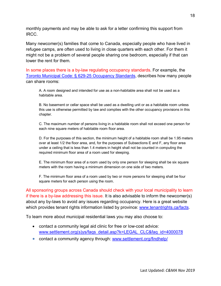monthly payments and may be able to ask for a letter confirming this support from IRCC.

Many newcomer(s) families that come to Canada, especially people who have lived in refugee camps, are often used to living in close quarters with each other. For them it might not be a problem of several people sharing one bedroom, especially if that can lower the rent for them.

In some places there is a by-law regulating occupancy standards. For example, the [Toronto Municipal Code: § 629-25 Occupancy Standards,](http://www.toronto.ca/legdocs/municode/1184_629.pdf) describes how many people can share rooms:

A. A room designed and intended for use as a non-habitable area shall not be used as a habitable area.

B. No basement or cellar space shall be used as a dwelling unit or as a habitable room unless this use is otherwise permitted by law and complies with the other occupancy provisions in this chapter.

C. The maximum number of persons living in a habitable room shall not exceed one person for each nine square meters of habitable room floor area.

D. For the purposes of this section, the minimum height of a habitable room shall be 1.95 meters over at least 1/2 the floor area, and, for the purposes of Subsections E and F, any floor area under a ceiling that is less than 1.4 meters in height shall not be counted in computing the required minimum floor area of a room used for sleeping.

E. The minimum floor area of a room used by only one person for sleeping shall be six square meters with the room having a minimum dimension on one side of two meters.

F. The minimum floor area of a room used by two or more persons for sleeping shall be four square meters for each person using the room.

All sponsoring groups across Canada should check with your local municipality to learn if there is a by-law addressing this issue. It is also advisable to inform the newcomer(s) about any by-laws to avoid any issues regarding occupancy. Here is a great website which provides tenant rights information listed by province: [www.tenantrights.ca/facts.](http://www.tenantrights.ca/facts)

To learn more about municipal residential laws you may also choose to:

- contact a community legal aid clinic for free or low-cost advice: [www.settlement.org\(s\)ys/faqs\\_detail.asp?k=LEGAL\\_CLC&faq\\_id=4000078](http://www.settlement.org(s)ys/faqs_detail.asp?k=LEGAL_CLC&faq_id=4000078)
- contact a community agency through: [www.settlement.org/findhelp/](http://www.settlement.org/findhelp/)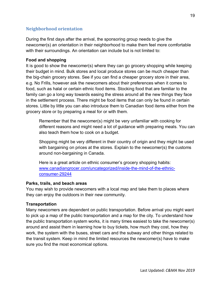#### <span id="page-21-0"></span>**Neighborhood orientation**

During the first days after the arrival, the sponsoring group needs to give the newcomer(s) an orientation in their neighborhood to make them feel more comfortable with their surroundings. An orientation can include but is not limited to:

#### <span id="page-21-1"></span>**Food and shopping**

It is good to show the newcomer(s) where they can go grocery shopping while keeping their budget in mind. Bulk stores and local produce stores can be much cheaper than the big-chain grocery stores. See if you can find a cheaper grocery store in their area, e.g. No Frills, however ask the newcomers about their preferences when it comes to food, such as halal or certain ethnic food items. Stocking food that are familiar to the family can go a long way towards easing the stress around all the new things they face in the settlement process. There might be food items that can only be found in certain stores. Little by little you can also introduce them to Canadian food items either from the grocery store or by preparing a meal for or with them.

Remember that the newcomer(s) might be very unfamiliar with cooking for different reasons and might need a lot of guidance with preparing meals. You can also teach them how to cook on a budget.

Shopping might be very different in their country of origin and they might be used with bargaining on prices at the stores. Explain to the newcomer(s) the customs around non-bargaining in Canada.

Here is a great article on ethnic consumer's grocery shopping habits: [www.canadiangrocer.com/uncategorized/inside-the-mind-of-the-ethnic](http://www.canadiangrocer.com/uncategorized/inside-the-mind-of-the-ethnic-consumer-29244)[consumer-29244](http://www.canadiangrocer.com/uncategorized/inside-the-mind-of-the-ethnic-consumer-29244)

#### **Parks, trails, and beach areas**

You may wish to provide newcomers with a local map and take them to places where they can enjoy the outdoors in their new community.

#### <span id="page-21-2"></span>**Transportation**

Many newcomers are dependent on public transportation. Before arrival you might want to pick up a map of the public transportation and a map for the city. To understand how the public transportation system works, it is many times easiest to take the newcomer(s) around and assist them in learning how to buy tickets, how much they cost, how they work, the system with the buses, street cars and the subway and other things related to the transit system. Keep in mind the limited resources the newcomer(s) have to make sure you find the most economical options.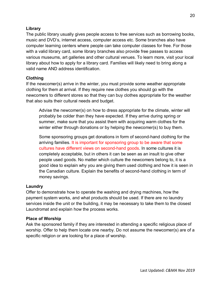#### **Library**

The public library usually gives people access to free services such as borrowing books, music and DVD's, internet access, computer access etc. Some branches also have computer learning centers where people can take computer classes for free. For those with a valid library card, some library branches also provide free passes to access various museums, art galleries and other cultural venues. To learn more, visit your local library about how to apply for a library card. Families will likely need to bring along a valid name AND address identification.

#### **Clothing**

If the newcomer(s) arrive in the winter, you must provide some weather appropriate clothing for them at arrival. If they require new clothes you should go with the newcomers to different stores so that they can buy clothes appropriate for the weather that also suits their cultural needs and budget.

Advise the newcomer(s) on how to dress appropriate for the climate, winter will probably be colder than they have expected. If they arrive during spring or summer, make sure that you assist them with acquiring warm clothes for the winter either through donations or by helping the newcomer(s) to buy them.

Some sponsoring groups get donations in form of second-hand clothing for the arriving families. It is important for sponsoring group to be aware that some cultures have different views on second-hand goods. In some cultures it is completely acceptable, but in others it can be seen as an insult to give other people used goods. No matter which culture the newcomers belong to, it is a good idea to explain why you are giving them used clothing and how it is seen in the Canadian culture. Explain the benefits of second-hand clothing in term of money savings.

#### **Laundry**

Offer to demonstrate how to operate the washing and drying machines, how the payment system works, and what products should be used. If there are no laundry services inside the unit or the building, it may be necessary to take them to the closest Laundromat and explain how the process works.

#### <span id="page-22-0"></span>**Place of Worship**

Ask the sponsored family if they are interested in attending a specific religious place of worship. Offer to help them locate one nearby. Do not assume the newcomer(s) are of a specific religion or are looking for a place of worship.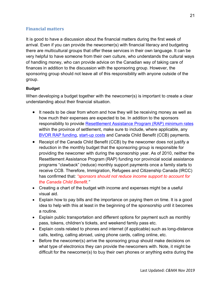#### <span id="page-23-0"></span>**Financial matters**

It is good to have a discussion about the financial matters during the first week of arrival. Even if you can provide the newcomer(s) with financial literacy and budgeting there are multicultural groups that offer these services in their own language. It can be very helpful to have someone from their own culture, who understands the cultural ways of handling money, who can provide advice on the Canadian way of taking care of finances in addition to the discussion with the sponsoring group. However, the sponsoring group should not leave all of this responsibility with anyone outside of the group.

#### <span id="page-23-1"></span>**Budget**

When developing a budget together with the newcomer(s) is important to create a clear understanding about their financial situation.

- It needs to be clear from whom and how they will be receiving money as well as how much their expenses are expected to be. In addition to the sponsors responsibility to provide [Resettlement Assistance Program \(RAP\) minimum rates](http://www.rstp.ca/en/bvor/rap-resettlement-assistance-program-rates/) within the province of settlement, make sure to include, where applicable, any BVOR [RAP funding,](http://www.rstp.ca/en/bvor/how-can-i-sponsor-a-refugee-to-canada/) [start-up costs](http://www.rstp.ca/wp-content/uploads/2019/03/Start-up.pdf) and Canada Child Benefit (CCB) payments.
- Receipt of the Canada Child Benefit (CCB) by the newcomer does not justify a reduction in the monthly budget that the sponsoring group is responsible for providing the newcomer with during the sponsorship year. As of 2010, neither the Resettlement Assistance Program (RAP) funding nor provincial social assistance programs "clawback" (reduce) monthly support payments once a family starts to receive CCB. Therefore, Immigration, Refugees and Citizenship Canada (IRCC) has confirmed that*: "sponsors should not reduce income support to account for the Canada Child Benefit."*
- Creating a chart of the budget with income and expenses might be a useful visual aid.
- Explain how to pay bills and the importance on paying them on time. It is a good idea to help with this at least in the beginning of the sponsorship until it becomes a routine.
- Explain public transportation and different options for payment such as monthly pass, tokens, children's tickets, and weekend family pass etc.
- Explain costs related to phones and internet (if applicable) such as long-distance calls, texting, calling abroad, using phone cards, calling online, etc.
- Before the newcomer(s) arrive the sponsoring group should make decisions on what type of electronics they can provide the newcomers with. Note, it might be difficult for the newcomer(s) to buy their own phones or anything extra during the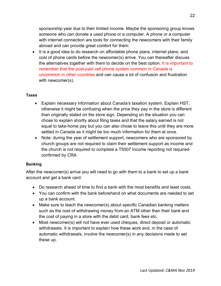sponsorship year due to their limited income. Maybe the sponsoring group knows someone who can donate a used phone or a computer. A phone or a computer with internet connection are tools for connecting the newcomers with their family abroad and can provide great comfort for them.

• It is a good idea to do research on affordable phone plans, internet plans, and cost of phone cards before the newcomer(s) arrive. You can thereafter discuss the alternatives together with them to decide on the best option. It is important to remember that the post-paid cell phone system common in Canada is uncommon in other countries and can cause a lot of confusion and frustration with newcomer(s).

#### <span id="page-24-0"></span>**Taxes**

- Explain necessary information about Canada's taxation system. Explain HST, otherwise it might be confusing when the price they pay in the store is different than originally stated on the store sign. Depending on the situation you can chose to explain shortly about filing taxes and that the salary earned is not equal to take-home pay but you can also chose to leave this until they are more settled in Canada as it might be too much information for them at once.
- Note: during the year of settlement support, new comers who are sponsored by church groups are not required to claim their settlement support as income and the church is not required to complete a T5007 Income reporting not requiredconfirmed by CRA

#### <span id="page-24-1"></span>**Banking**

After the newcomer(s) arrive you will need to go with them to a bank to set up a bank account and get a bank card.

- Do research ahead of time to find a bank with the most benefits and least costs.
- You can confirm with the bank beforehand on what documents are needed to set up a bank account.
- Make sure to teach the newcomer(s) about specific Canadian banking matters such as the cost of withdrawing money from an ATM other than their bank and the cost of paying in a store with the debit card, bank fees etc.
- Most newcomer(s) will not have ever used cheques, direct deposit or automatic withdrawals. It is important to explain how these work and, in the case of automatic withdrawals, involve the newcomer(s) in any decisions made to set these up.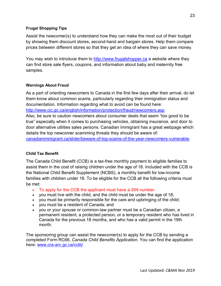#### **Frugal Shopping Tips**

Assist the newcomer(s) to understand how they can make the most out of their budget by showing them discount stores, second-hand and bargain stores. Help them compare prices between different stores so that they get an idea of where they can save money.

You may wish to introduce them to [http://www.frugalshopper.ca](http://www.frugalshopper.ca/) a website where they can find store sale flyers, coupons, and information about baby and maternity free samples.

#### <span id="page-25-0"></span>**Warnings About Fraud**

As a part of orienting newcomers to Canada in the first few days after their arrival, do let them know about common scams, particularly regarding their immigration status and documentation. Information regarding what to avoid can be found here:

<http://www.cic.gc.ca/english/information/protection/fraud/newcomers.asp>

Also, be sure to caution newcomers about consumer deals that seem "too good to be true" especially when it comes to purchasing vehicles, obtaining insurance, and door to door alternative utilities sales persons. Canadian Immigrant has a great webpage which details the top newcomer scamming threats they should be aware of:

[canadianimmigrant.ca/slider/beware-of-top-scams-of-the-year-newcomers-vulnerable.](http://canadianimmigrant.ca/slider/beware-of-top-scams-of-the-year-newcomers-vulnerable)

#### <span id="page-25-1"></span>**Child Tax Benefit**

The Canada Child Benefit (CCB) is a tax-free monthly payment to eligible families to assist them in the cost of raising children under the age of 18. Included with the CCB is the National Child Benefit Supplement (NCBS), a monthly benefit for low-income families with children under 18. To be eligible for the CCB all the following criteria must be met:

- To apply for the CCB the applicant must have a SIN number.
- you must live with the child, and the child must be under the age of 18;
- you must be primarily responsible for the care and upbringing of the child;
- you must be a resident of Canada; and
- you or your spouse or common-law partner must be a Canadian citizen, a permanent resident, a protected person, or a temporary resident who has lived in Canada for the previous 18 months, and who has a valid permit in the 19th month.

The sponsoring group can assist the newcomer(s) to apply for the CCB by sending a completed Form RC66, *Canada Child Benefits Application*. You can find the application here: [www.cra-arc.gc.ca/cctb/](http://www.cra-arc.gc.ca/cctb/)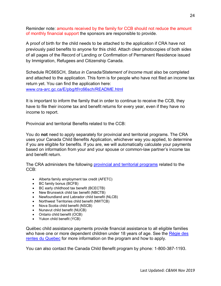Reminder note: amounts received by the family for CCB should not reduce the amount of monthly financial support the sponsors are responsible to provide.

A proof of birth for the child needs to be attached to the application if CRA have not previously paid benefits to anyone for this child. Attach clear photocopies of both sides of all pages of the Record of Landing or Confirmation of Permanent Residence issued by Immigration, Refugees and Citizenship Canada.

Schedule RC66SCH, *Status in Canada/Statement of Income* must also be completed and attached to the application. This form is for people who have not filed an income tax return yet. You can find the application here: [www.cra-arc.gc.ca/E/pbg/tf/rc66sch/README.html](http://www.cra-arc.gc.ca/E/pbg/tf/rc66sch/README.html)

It is important to inform the family that in order to continue to receive the CCB, they have to file their income tax and benefit returns for every year, even if they have no income to report.

Provincial and territorial Benefits related to the CCB:

You do **not** need to apply separately for provincial and territorial programs. The CRA uses your Canada Child Benefits Application, whichever way you applied, to determine if you are eligible for benefits. If you are, we will automatically calculate your payments based on information from your and your spouse or common-law partner's income tax and benefit return.

The CRA administers the following **provincial and territorial programs** related to the CCB:

- Alberta family employment tax credit (AFETC)
- BC family bonus (BCFB)
- BC early childhood tax benefit (BCECTB)
- New Brunswick child tax benefit (NBCTB)
- Newfoundland and Labrador child benefit (NLCB)
- Northwest Territories child benefit (NWTCB)
- Nova Scotia child benefit (NSCB)
- Nunavut child benefit (NUCB)
- Ontario child benefit (OCB)
- Yukon child benefit (YCB)

Québec child assistance payments provide financial assistance to all eligible families who have one or more dependent children under 18 years of age. See the Régie des [rentes du Quebec](http://www.rrq.gouv.qc.ca/en/enfants/naissance/paiement_soutien_enfants/Pages/paiement_soutien_enfants.aspx) for more information on the program and how to apply.

You can also contact the Canada Child Benefit program by phone*:* 1-800-387-1193.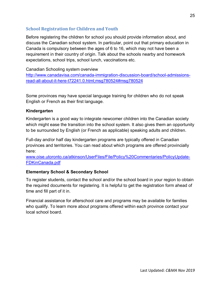## <span id="page-27-0"></span>**School Registration for Children and Youth**

Before registering the children for school you should provide information about, and discuss the Canadian school system. In particular, point out that primary education in Canada is compulsory between the ages of 6 to 16, which may not have been a requirement in their country of origin. Talk about the schools nearby and homework expectations, school trips, school lunch, vaccinations etc.

#### Canadian Schooling system overview

[http://www.canadavisa.com/canada-immigration-discussion-board/school-admissions](http://www.canadavisa.com/canada-immigration-discussion-board/school-admissions-read-all-about-it-here-t72241.0.html;msg780524#msg780524)[read-all-about-it-here-t72241.0.html;msg780524#msg780524](http://www.canadavisa.com/canada-immigration-discussion-board/school-admissions-read-all-about-it-here-t72241.0.html;msg780524#msg780524) 

Some provinces may have special language training for children who do not speak English or French as their first language.

#### **Kindergarten**

Kindergarten is a good way to integrate newcomer children into the Canadian society which might ease the transition into the school system. It also gives them an opportunity to be surrounded by English (or French as applicable) speaking adults and children.

Full-day and/or half day kindergarten programs are typically offered in Canadian provinces and territories. You can read about which programs are offered provincially here:

[www.oise.utoronto.ca/atkinson/UserFiles/File/Policy%20Commentaries/PolicyUpdate-](http://www.oise.utoronto.ca/atkinson/UserFiles/File/Policy%20Commentaries/PolicyUpdate-FDKinCanada.pdf)[FDKinCanada.pdf](http://www.oise.utoronto.ca/atkinson/UserFiles/File/Policy%20Commentaries/PolicyUpdate-FDKinCanada.pdf)

#### **Elementary School & Secondary School**

To register students, contact the school and/or the school board in your region to obtain the required documents for registering. It is helpful to get the registration form ahead of time and fill part of it in.

Financial assistance for afterschool care and programs may be available for families who qualify. To learn more about programs offered within each province contact your local school board.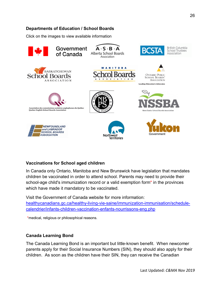#### **Departments of Education / School Boards**

Click on the images to view available information



#### <span id="page-28-0"></span>**Vaccinations for School aged children**

In Canada only Ontario, Manitoba and New Brunswick have legislation that mandates children be vaccinated in order to attend school. Parents may need to provide their school-age child's immunization record or a valid exemption form\* in the provinces which have made it mandatory to be vaccinated.

Visit the Government of Canada website for more information: [healthycanadians.gc.ca/healthy-living-vie-saine/immunization-immunisation/schedule](http://healthycanadians.gc.ca/healthy-living-vie-saine/immunization-immunisation/schedule-calendrier/infants-children-vaccination-enfants-nourrissons-eng.php)[calendrier/infants-children-vaccination-enfants-nourrissons-eng.php](http://healthycanadians.gc.ca/healthy-living-vie-saine/immunization-immunisation/schedule-calendrier/infants-children-vaccination-enfants-nourrissons-eng.php)

\*medical, religious or philosophical reasons.

#### <span id="page-28-1"></span>**Canada Learning Bond**

The Canada Learning Bond is an important but little-known benefit. When newcomer parents apply for their Social Insurance Numbers (SIN), they should also apply for their children. As soon as the children have their SIN, they can receive the Canadian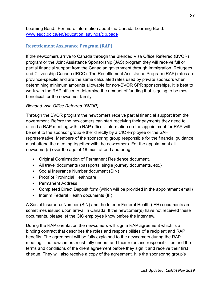Learning Bond. For more information about the Canada Learning Bond: [www.esdc.gc.ca/en/education\\_savings/clb.page](http://www.esdc.gc.ca/en/education_savings/clb.page)

## <span id="page-29-0"></span>**Resettlement Assistance Program (RAP)**

If the newcomers arrive to Canada through the Blended Visa Office Referred (BVOR) program or the Joint Assistance Sponsorship (JAS) program they will receive full or partial financial support from the Canadian government through Immigration, Refugees and Citizenship Canada (IRCC). The Resettlement Assistance Program (RAP) rates are province-specific and are the same calculated rates used by private sponsors when determining minimum amounts allowable for non-BVOR SPR sponsorships. It is best to work with the RAP officer to determine the amount of funding that is going to be most beneficial for the newcomer family.

#### *Blended Visa Office Referred (BVOR)*

Through the BVOR program the newcomers receive partial financial support from the government. Before the newcomers can start receiving their payments they need to attend a RAP meeting with a RAP officer. Information on the appointment for RAP will be sent to the sponsor group either directly by a CIC employee or the SAH representative. Members of the sponsoring group responsible for the financial guidance must attend the meeting together with the newcomers. For the appointment all newcomer(s) over the age of 18 must attend and bring:

- Original Confirmation of Permanent Residence document.
- All travel documents (passports, single journey documents, etc.)
- Social Insurance Number document (SIN)
- Proof of Provincial Healthcare
- Permanent Address
- Completed Direct Deposit form (which will be provided in the appointment email)
- Interim Federal Health documents (IF)

A Social Insurance Number (SIN) and the Interim Federal Health (IFH) documents are sometimes issued upon arrival in Canada. If the newcomer(s) have not received these documents, please let the CIC employee know before the interview.

During the RAP orientation the newcomers will sign a RAP agreement which is a binding contract that describes the roles and responsibilities of a recipient and RAP benefits. The agreement will be fully explained to the newcomers during the RAP meeting. The newcomers must fully understand their roles and responsibilities and the terms and conditions of the client agreement before they sign it and receive their first cheque. They will also receive a copy of the agreement. It is the sponsoring group's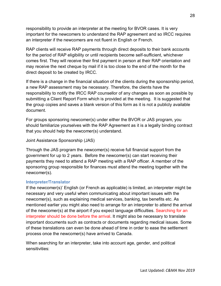responsibility to provide an interpreter at the meeting for BVOR cases. It is very important for the newcomers to understand the RAP agreement and so IRCC requires an interpreter if the newcomers are not fluent in English or French.

RAP clients will receive RAP payments through direct deposits to their bank accounts for the period of RAP eligibility or until recipients become self-sufficient, whichever comes first. They will receive their first payment in person at their RAP orientation and may receive the next cheque by mail if it is too close to the end of the month for the direct deposit to be created by IRCC.

If there is a change in the financial situation of the clients during the sponsorship period, a new RAP assessment may be necessary. Therefore, the clients have the responsibility to notify the IRCC RAP counsellor of any changes as soon as possible by submitting a Client Report Form which is provided at the meeting. It is suggested that the group copies and saves a blank version of this form as it is not a publicly available document.

For groups sponsoring newcomer(s) under either the BVOR or JAS program, you should familiarize yourselves with the RAP Agreement as it is a legally binding contract that you should help the newcomer(s) understand.

Joint Assistance Sponsorship (JAS)

Through the JAS program the newcomer(s) receive full financial support from the government for up to 2 years. Before the newcomer(s) can start receiving their payments they need to attend a RAP meeting with a RAP officer. A member of the sponsoring group responsible for finances must attend the meeting together with the newcomer(s).

#### <span id="page-30-0"></span>**Interpreter/Translator**

If the newcomer(s)' English (or French as applicable) is limited, an interpreter might be necessary and very useful when communicating about important issues with the newcomer(s), such as explaining medical services, banking, tax benefits etc. As mentioned earlier you might also need to arrange for an interpreter to attend the arrival of the newcomer(s) at the airport if you expect language difficulties. Searching for an interpreter should be done before the arrival. It might also be necessary to translate important documents such as contracts or documents regarding medical issues. Some of these translations can even be done ahead of time in order to ease the settlement process once the newcomer(s) have arrived to Canada.

When searching for an interpreter, take into account age, gender, and political sensitivities: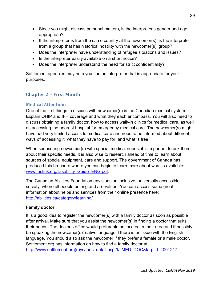- Since you might discuss personal matters, is the interpreter's gender and age appropriate?
- If the interpreter is from the same country at the newcomer(s), is the interpreter from a group that has historical hostility with the newcomer(s)' group?
- Does the interpreter have understanding of refugee situations and issues?
- Is the interpreter easily available on a short notice?
- Does the interpreter understand the need for strict confidentiality?

Settlement agencies may help you find an interpreter that is appropriate for your purposes.

## <span id="page-31-0"></span>**Chapter 2 – First Month**

#### <span id="page-31-1"></span>**Medical Attention:**

One of the first things to discuss with newcomer(s) is the Canadian medical system. Explain OHIP and IFH coverage and what they each encompass. You will also need to discuss obtaining a family doctor, how to access walk-in clinics for medical care, as well as accessing the nearest hospital for emergency medical care. The newcomer(s) might have had very limited access to medical care and need to be informed about different ways of accessing it, what they have to pay for, and what is free.

When sponsoring newcomer(s) with special medical needs, it is important to ask them about their specific needs. It is also wise to research ahead of time to learn about sources of special equipment, care and support. The government of Canada has produced this brochure where you can begin to learn more about what is available: [www.faslink.org/Disability\\_Guide\\_ENG.pdf.](http://www.faslink.org/Disability_Guide_ENG.pdf)

The Canadian Abilities Foundation envisions an inclusive, universally accessible society, where all people belong and are valued. You can access some great information about helps and services from their online presence here: <http://abilities.ca/category/learning/>

#### **Family doctor**

It is a good idea to register the newcomer(s) with a family doctor as soon as possible after arrival. Make sure that you assist the newcomer(s) in finding a doctor that suits their needs. The doctor's office would preferable be located in their area and if possibly be speaking the newcomer(s)' native language if there is an issue with the English language. You should also ask the newcomer if they prefer a female or a male doctor. Settlement.org has information on how to find a family doctor at: http://www.settlement.org(s)ys/faqs\_detail.asp?k=MED\_DOC&faq\_id=4001217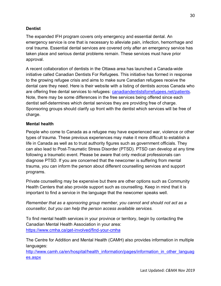#### **Dentist**

The expanded IFH program covers only emergency and essential dental. An emergency service is one that is necessary to alleviate pain, infection, hemorrhage and oral trauma. Essential dental services are covered only after an emergency service has taken place and serious dental problems remain. These services must have prior approval.

A recent collaboration of dentists in the Ottawa area has launched a Canada-wide initiative called Canadian Dentists For Refugees. This initiative has formed in response to the growing refugee crisis and aims to make sure Canadian refugees receive the dental care they need. Here is their website with a listing of dentists across Canada who are offering free dental services to refugees: [canadiandentistsforrefugees.net/patients.](http://canadiandentistsforrefugees.net/patients) Note, there may be some differences in the free services being offered since each dentist self-determines which dental services they are providing free of charge. Sponsoring groups should clarify up front with the dentist which services will be free of charge.

#### **Mental health**

People who come to Canada as a refugee may have experienced war, violence or other types of trauma. These previous experiences may make it more difficult to establish a life in Canada as well as to trust authority figures such as government officials. They can also lead to Post-Traumatic Stress Disorder (PTSD). PTSD can develop at any time following a traumatic event. Please be aware that only medical professionals can diagnose PTSD. If you are concerned that the newcomer is suffering from mental trauma, you can inform the person about different counselling services and support programs.

Private counselling may be expensive but there are other options such as Community Health Centers that also provide support such as counselling. Keep in mind that it is important to find a service in the language that the newcomer speaks well.

*Remember that as a sponsoring group member, you cannot and should not act as a counsellor, but you can help the person access available services.*

To find mental health services in your province or territory, begin by contacting the Canadian Mental Health Association in your area: <https://www.cmha.ca/get-involved/find-your-cmha>

The Centre for Addition and Mental Health (CAMH) also provides information in multiple languages:

[http://www.camh.ca/en/hospital/health\\_information/pages/information\\_in\\_other\\_languag](http://www.camh.ca/en/hospital/health_information/pages/information_in_other_languages.aspx) [es.aspx](http://www.camh.ca/en/hospital/health_information/pages/information_in_other_languages.aspx)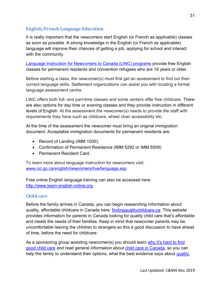#### <span id="page-33-0"></span>**English/French Language Education**

It is really important that the newcomers start English (or French as applicable) classes as soon as possible. A strong knowledge in the English (or French as applicable) language will improve their chances of getting a job, applying for school and interact with the community.

[Language Instruction for Newcomers to Canada \(LINC\)](http://www.cic.gc.ca/english/department/media/backgrounders/2013/2013-10-18.asp) programs provide free English classes for permanent residents and convention refugees who are 18 years or older.

Before starting a class, the newcomer(s) must first get an assessment to find out their current language skills. Settlement organizations can assist you with locating a formal language assessment centre.

LINC offers both full- and part-time classes and some centers offer free childcare. There are also options for day time or evening classes and they provide instruction in different levels of English. At the assessment the newcomer(s) needs to provide the staff with requirements they have such as childcare, wheel chair accessibility etc.

At the time of the assessment the newcomer must bring an original immigration document. Acceptable immigration documents for permanent residents are:

- Record of Landing (IMM 1000),
- Confirmation of Permanent Residence (IMM 5292 or IMM 5509)
- Permanent Resident Card.

To learn more about language instruction for newcomers visit: [www.cic.gc.ca/english/newcomers/live/language.asp](http://www.cic.gc.ca/english/newcomers/live/language.asp)

Free online English language training can also be accessed here: [http://www.learn-english-online.org](http://www.learn-english-online.org/)

#### <span id="page-33-1"></span>**Child care**

Before the family arrives in Canada, you can begin researching information about quality, affordable childcare in Canada here: [findingqualitychildcare.ca.](http://www.findingqualitychildcare.ca/) This website provides information for parents in Canada looking for quality child care that's affordable and meets the needs of their families. Keep in mind that newcomer parents may be uncomfortable leaving the children to strangers so this a good discussion to have ahead of time, before the need for childcare.

As a sponsoring group assisting newcomer(s) you should learn why it's hard to find [good child care](http://findingqualitychildcare.ca/welcome-to-finding-quality-child-care-in-canada) and read general information about [child care in Canada,](http://findingqualitychildcare.ca/who-is-responsible) so you can help the family to understand their options, what the best evidence says about [quality,](http://findingqualitychildcare.ca/high-quality-child-care/why-quality-matters)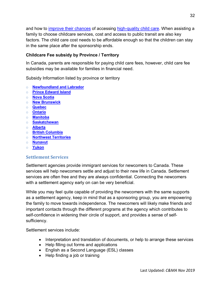and how to *improve their chances* of accessing [high-quality child care.](http://findingqualitychildcare.ca/high-quality-child-care/what-is-quality) When assisting a family to choose childcare services, cost and access to public transit are also key factors. The child care cost needs to be affordable enough so that the children can stay in the same place after the sponsorship ends.

#### **Childcare Fee subsidy by Province / Territory**

In Canada, parents are responsible for paying child care fees, however, child care fee subsidies may be available for families in financial need.

Subsidy Information listed by province or territory

- o **[Newfoundland and Labrador](http://findingqualitychildcare.ca/newfoundland-and-labrador)**
- o **[Prince Edward Island](http://findingqualitychildcare.ca/prince-edward-island)**
- o **[Nova Scotia](http://findingqualitychildcare.ca/nova-scotia)**
- o **[New Brunswick](http://findingqualitychildcare.ca/new-brunswick)**
- o **[Quebec](http://findingqualitychildcare.ca/quebec)**
- o **[Ontario](http://findingqualitychildcare.ca/ontario)**
- o **[Manitoba](http://findingqualitychildcare.ca/manitoba)**
- o **[Saskatchewan](http://findingqualitychildcare.ca/saskatchewan)**
- o **[Alberta](http://findingqualitychildcare.ca/alberta)**
- o **[British Columbia](http://findingqualitychildcare.ca/british-columbia)**
- o **[Northwest Territories](http://findingqualitychildcare.ca/northwest-territories)**
- o **[Nunavut](http://findingqualitychildcare.ca/nunuvut)**
- <span id="page-34-0"></span>o **[Yukon](http://findingqualitychildcare.ca/yukon)**

#### **Settlement Services**

Settlement agencies provide immigrant services for newcomers to Canada. These services will help newcomers settle and adjust to their new life in Canada. Settlement services are often free and they are always confidential. Connecting the newcomers with a settlement agency early on can be very beneficial.

While you may feel quite capable of providing the newcomers with the same supports as a settlement agency, keep in mind that as a sponsoring group, you are empowering the family to move towards independence. The newcomers will likely make friends and important contacts through the different programs at the agency which contributes to self-confidence in widening their circle of support, and provides a sense of selfsufficiency.

Settlement services include:

- Interpretation and translation of documents, or help to arrange these services
- Help filling out forms and applications
- English as a Second Language (ESL) classes
- Help finding a job or training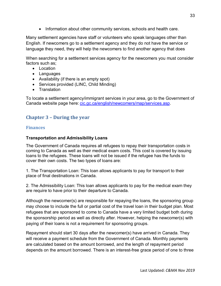• Information about other community services, schools and health care.

Many settlement agencies have staff or volunteers who speak languages other than English. If newcomers go to a settlement agency and they do not have the service or language they need, they will help the newcomers to find another agency that does

When searching for a settlement services agency for the newcomers you must consider factors such as;

- Location
- Languages
- Availability (if there is an empty spot)
- Services provided (LINC, Child Minding)
- Translation

To locate a settlement agency/immigrant services in your area, go to the Government of Canada website page here: [cic.gc.ca/english/newcomers/map/services.asp.](http://www.cic.gc.ca/english/newcomers/map/services.asp)

## <span id="page-35-0"></span>**Chapter 3 – During the year**

#### <span id="page-35-1"></span>**Finances**

#### **Transportation and Admissibility Loans**

The Government of Canada requires all refugees to repay their transportation costs in coming to Canada as well as their medical exam costs. This cost is covered by issuing loans to the refugees. These loans will not be issued if the refugee has the funds to cover their own costs. The two types of loans are:

1. The Transportation Loan: This loan allows applicants to pay for transport to their place of final destinations in Canada.

2. The Admissibility Loan: This loan allows applicants to pay for the medical exam they are require to have prior to their departure to Canada.

Although the newcomer(s) are responsible for repaying the loans, the sponsoring group may choose to include the full or partial cost of the travel loan in their budget plan. Most refugees that are sponsored to come to Canada have a very limited budget both during the sponsorship period as well as directly after. However, helping the newcomer(s) with paying of their loans is not a requirement for sponsoring groups.

Repayment should start 30 days after the newcomer(s) have arrived in Canada. They will receive a payment schedule from the Government of Canada. Monthly payments are calculated based on the amount borrowed, and the length of repayment period depends on the amount borrowed. There is an interest-free grace period of one to three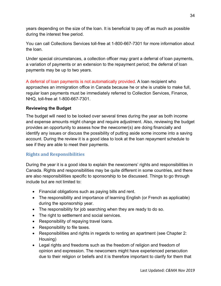years depending on the size of the loan. It is beneficial to pay off as much as possible during the interest free period.

You can call Collections Services toll-free at 1-800-667-7301 for more information about the loan.

Under special circumstances, a collection officer may grant a deferral of loan payments, a variation of payments or an extension to the repayment period; the deferral of loan payments may be up to two years.

A deferral of loan payments is not automatically provided. A loan recipient who approaches an immigration office in Canada because he or she is unable to make full, regular loan payments must be immediately referred to Collection Services, Finance, NHQ, toll-free at 1-800-667-7301.

#### **Reviewing the Budget**

The budget will need to be looked over several times during the year as both income and expense amounts might change and require adjustment. Also, reviewing the budget provides an opportunity to assess how the newcomer(s) are doing financially and identify any issues or discuss the possibility of putting aside some income into a saving account. During the review it is a good idea to look at the loan repayment schedule to see if they are able to meet their payments.

#### <span id="page-36-0"></span>**Rights and Responsibilities**

During the year it is a good idea to explain the newcomers' rights and responsibilities in Canada. Rights and responsibilities may be quite different in some countries, and there are also responsibilities specific to sponsorship to be discussed. Things to go through include but are not limited to:

- Financial obligations such as paying bills and rent.
- The responsibility and importance of learning English (or French as applicable) during the sponsorship year.
- The responsibility for job searching when they are ready to do so.
- The right to settlement and social services.
- Responsibility of repaying travel loans.
- Responsibility to file taxes.
- Responsibilities and rights in regards to renting an apartment (see Chapter 2: Housing)
- Legal rights and freedoms such as the freedom of religion and freedom of opinion and expression. The newcomers might have experienced persecution due to their religion or beliefs and it is therefore important to clarify for them that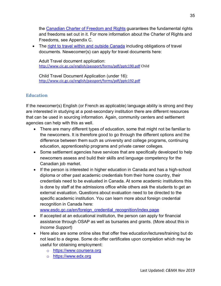the [Canadian Charter of Freedom and Rights](http://www.pch.gc.ca/eng/1356631760121) guarantees the fundamental rights and freedoms set out in it. For more information about the Charter of Rights and Freedoms, see Appendix C.

• The [right to travel within and outside Canada](http://www.cic.gc.ca/english/newcomers/after-life-id.asp) including obligations of travel documents. Newecomer(s) can apply for travel documents here:

Adult Travel document application: <http://www.cic.gc.ca/english/passport/forms/pdf/pptc190.pdf> Child

Child Travel Document Application (under 16): <http://www.cic.gc.ca/english/passport/forms/pdf/pptc192.pdf>

## <span id="page-37-0"></span>**Education**

If the newcomer(s) English (or French as applicable) language ability is strong and they are interested in studying at a post-secondary institution there are different resources that can be used in sourcing information. Again, community centers and settlement agencies can help with this as well.

- There are many different types of education, some that might not be familiar to the newcomers. It is therefore good to go through the different options and the difference between them such as university and college programs, continuing education, apprenticeship programs and private career colleges.
- Some settlement agencies have services that are specifically developed to help newcomers assess and build their skills and language competency for the Canadian job market.
- If the person is interested in higher education in Canada and has a high-school diploma or other past academic credentials from their home country, their credentials need to be evaluated in Canada. At some academic institutions this is done by staff at the admissions office while others ask the students to get an external evaluation. Questions about evaluation need to be directed to the specific academic institution. You can learn more about foreign credential recognition in Canada here:

[www.esdc.gc.ca/en/foreign\\_credential\\_recognition/index.page](http://www.esdc.gc.ca/en/foreign_credential_recognition/index.page)

- If accepted at an educational institution, the person can apply for financial assistance through OSAP as well as bursaries and grants. (More about this in *Income Support*)
- Here also are some online sites that offer free education/lectures/training but do not lead to a degree. Some do offer certificates upon completion which may be useful for obtaining employment:
	- o [https://www.coursera.org](https://www.coursera.org/)
	- o [https://www.edx.org](https://www.edx.org/)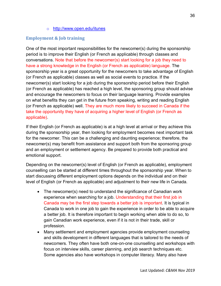o <http://www.open.edu/itunes>

## <span id="page-38-0"></span>**Employment & Job training**

One of the most important responsibilities for the newcomer(s) during the sponsorship period is to improve their English (or French as applicable) through classes and conversations. Note that before the newcomer(s) start looking for a job they need to have a strong knowledge in the English (or French as applicable) language. The sponsorship year is a great opportunity for the newcomers to take advantage of English (or French as applicable) classes as well as social events to practice. If the newcomer(s) start looking for a job during the sponsorship period before their English (or French as applicable) has reached a high level, the sponsoring group should advise and encourage the newcomers to focus on their language learning. Provide examples on what benefits they can get in the future from speaking, writing and reading English (or French as applicable) well. They are much more likely to succeed in Canada if the take the opportunity they have of acquiring a higher level of English (or French as applicable).

If their English (or French as applicable) is at a high level at arrival or they achieve this during the sponsorship year, then looking for employment becomes next important task for the newcomer. This can be a challenging and daunting experience; therefore, the newcomer(s) may benefit from assistance and support both from the sponsoring group and an employment or settlement agency. Be prepared to provide both practical and emotional support.

Depending on the newcomer(s) level of English (or French as applicable), employment counselling can be started at different times throughout the sponsorship year. When to start discussing different employment options depends on the individual and on their level of English (or French as applicable) and adjustment to their new life in Canada.

- The newcomer(s) need to understand the significance of Canadian work experience when searching for a job. Understanding that their first job in Canada may be the first step towards a better job is important. It is typical in Canada to work in one job to gain the experience in order to be able to acquire a better job. It is therefore important to begin working when able to do so, to gain Canadian work experience, even if it is not in their trade, skill or profession.
- Many settlement and employment agencies provide employment counseling and skills development in different languages that is tailored to the needs of newcomers. They often have both one-on-one counselling and workshops with focus on interview skills, career planning, and job search techniques etc. Some agencies also have workshops in computer literacy. Many also have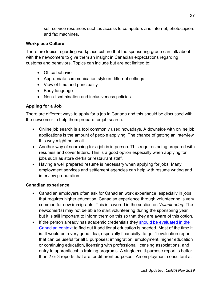self-service resources such as access to computers and internet, photocopiers and fax machines.

#### <span id="page-39-0"></span>**Workplace Culture**

There are topics regarding workplace culture that the sponsoring group can talk about with the newcomers to give them an insight in Canadian expectations regarding customs and behaviors. Topics can include but are not limited to:

- Office behavior
- Appropriate communication style in different settings
- View of time and punctuality
- Body language
- Non-discrimination and inclusiveness policies

#### <span id="page-39-1"></span>**Appling for a Job**

There are different ways to apply for a job in Canada and this should be discussed with the newcomer to help them prepare for job search.

- Online job search is a tool commonly used nowadays. A downside with online job applications is the amount of people applying. The chance of getting an interview this way might be small.
- Another way of searching for a job is in person. This requires being prepared with resumes and cover letters. This is a good option especially when applying for jobs such as store clerks or restaurant staff.
- Having a well prepared resume is necessary when applying for jobs. Many employment services and settlement agencies can help with resume writing and interview preparation.

#### <span id="page-39-2"></span>**Canadian experience**

- Canadian employers often ask for Canadian work experience; especially in jobs that requires higher education. Canadian experience through volunteering is very common for new immigrants. This is covered in the section on *Volunteering*. The newcomer(s) may not be able to start volunteering during the sponsoring year but it is still important to inform them on this so that they are aware of this option.
- If the person already has academic credentials they should be evaluated in the [Canadian context](http://www.esdc.gc.ca/en/foreign_credential_recognition/index.page) to find out if additional education is needed. Most of the time it is. It would be a very good idea, especially financially, to get 1 evaluation report that can be useful for all 5 purposes: immigration, employment, higher education or continuing education, licensing with professional licensing associations, and entry to apprenticeship training programs. A single multi-purpose report is better than 2 or 3 reports that are for different purposes. An employment consultant at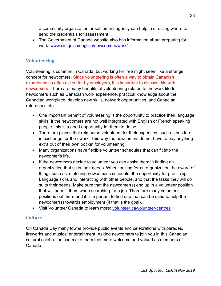a community organization or settlement agency can help in directing where to send the credentials for assessment.

• The Government of Canada website also has information about preparing for work: www.cic.gc.ca/english/newcomers/work/

## <span id="page-40-0"></span>**Volunteering**

Volunteering is common in Canada, but working for free might seem like a strange concept for newcomers. Since volunteering is often a way to obtain Canadian experience so often asked for by employers, it is important to discuss this with newcomers. There are many benefits of volunteering related to the work life for newcomers such as Canadian work experience, practical knowledge about the Canadian workplace, develop new skills, network opportunities, and Canadian references etc.

- One important benefit of volunteering is the opportunity to practice their language skills. If the newcomers are not well integrated with English or French speaking people, this is a good opportunity for them to do so.
- There are places that reimburse volunteers for their expenses, such as bus fare, in exchange for their work. This way the newcomers do not have to pay anything extra out of their own pocket for volunteering.
- Many organizations have flexible volunteer schedules that can fit into the newcomer's life.
- If the new comers decide to volunteer you can assist them in finding an organization that suits their needs. When looking for an organization, be aware of things such as: matching newcomer's schedule, the opportunity for practicing Language skills and interacting with other people, and that the tasks they will do suits their needs. Make sure that the newcomer(s) end up in a volunteer position that will benefit them when searching for a job. There are many volunteer positions out there and it is important to find one that can be used to help the newcomer(s) towards employment (if that is the goal).
- Visit Volunteer Canada to learn more: [volunteer.ca/volunteer-centres](https://volunteer.ca/volunteer-centres)

#### <span id="page-40-1"></span>**Culture**

On Canada Day many towns provide public events and celebrations with parades, fireworks and musical entertainment. Asking newcomers to join you in this Canadian cultural celebration can make them feel more welcome and valued as members of Canada.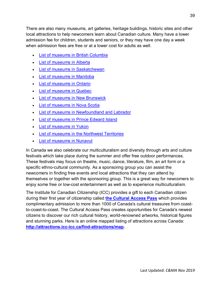There are also many museums, art galleries, heritage buildings, historic sites and other local attractions to help newcomers learn about Canadian culture. Many have a lower admission fee for children, students and seniors, or they may have one day a week when admission fees are free or at a lower cost for adults as well.

- [List of museums in British Columbia](https://en.wikipedia.org/wiki/List_of_museums_in_British_Columbia)
- [List of museums in Alberta](https://en.wikipedia.org/wiki/List_of_museums_in_Alberta)
- [List of museums in Saskatchewan](https://en.wikipedia.org/wiki/List_of_museums_in_Saskatchewan)
- [List of museums in Manitoba](https://en.wikipedia.org/wiki/List_of_museums_in_Manitoba)
- [List of museums in Ontario](https://en.wikipedia.org/wiki/List_of_museums_in_Ontario)
- [List of museums in Quebec](https://en.wikipedia.org/wiki/List_of_museums_in_Quebec)
- [List of museums in New Brunswick](https://en.wikipedia.org/wiki/List_of_museums_in_New_Brunswick)
- [List of museums in Nova Scotia](https://en.wikipedia.org/wiki/List_of_museums_in_Nova_Scotia)
- [List of museums in Newfoundland and Labrador](https://en.wikipedia.org/wiki/List_of_museums_in_Newfoundland_and_Labrador)
- [List of museums in Prince Edward Island](https://en.wikipedia.org/wiki/List_of_museums_in_Prince_Edward_Island)
- [List of museums in Yukon](https://en.wikipedia.org/wiki/List_of_museums_in_Yukon)
- [List of museums in the Northwest Territories](https://en.wikipedia.org/wiki/List_of_museums_in_the_Northwest_Territories)
- [List of museums in Nunavut](http://aboriginalcanada.ca/en/things-to-do/nunatta-sunakkutaangit-museum/)

In Canada we also celebrate our multiculturalism and diversity through arts and culture festivals which take place during the summer and offer free outdoor performances. These festivals may focus on theatre, music, dance, literature, film, an art form or a specific ethno-cultural community. As a sponsoring group you can assist the newcomers in finding free events and local attractions that they can attend by themselves or together with the sponsoring group. This is a great way for newcomers to enjoy some free or low-cost entertainment as well as to experience multiculturalism.

The Institute for Canadian Citizenship (ICC) provides a gift to each Canadian citizen during their first year of citizenship called **[the Cultural Access Pass](https://www.icc-icc.ca/en/cap/faq.php#Q1)** which provides complimentary admission to more than 1000 of Canada's cultural treasures from coastto-coast-to-coast. The Cultural Access Pass creates opportunities for Canada's newest citizens to discover our rich cultural history, world-renowned artworks, historical figures and stunning parks. Here is an online mapped listing of attractions across Canada: **[http://attractions.icc-icc.ca/find-attractions/map.](http://attractions.icc-icc.ca/find-attractions/map)**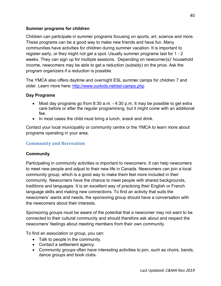#### **Summer programs for children**

Children can participate in summer programs focusing on sports, art, science and more. These programs can be a good way to make new friends and have fun. Many communities have activities for children during summer vacation. It is important to register early, or they might not get a spot. Usually summer programs last for 1 - 2 weeks. They can sign up for multiple sessions. Depending on newcomer(s)' household income, newcomers may be able to get a reduction (subsidy) on the price. Ask the program organizers if a reduction is possible.

The YMCA also offers daytime and overnight ESL summer camps for children 7 and older. Learn more here:<http://www.ourkids.net/esl-camps.php>

#### **Day Programs**

- Most day programs go from 8:30 a.m. 4:30 p.m. It may be possible to get extra care before or after the regular programming, but it might come with an additional fee.
- In most cases the child must bring a lunch, snack and drink.

Contact your local municipality or community centre or the YMCA to learn more about programs operating in your area.

#### <span id="page-42-0"></span>**Community and Recreation**

#### **Community**

Participating in community activities is important to newcomers. It can help newcomers to meet new people and adjust to their new life in Canada. Newcomers can join a local community group; which is a good way to make them feel more included in their community. Newcomers have the chance to meet people with shared backgrounds, traditions and languages. It is an excellent way of practicing their English or French language skills and making new connections. To find an activity that suits the newcomers' wants and needs, the sponsoring group should have a conversation with the newcomers about their interests.

Sponsoring groups must be aware of the potential that a newcomer may not want to be connected to their cultural community and should therefore ask about and respect the newcomers' feelings about meeting members from their own community.

To find an association or group, you can:

- Talk to people in the community.
- Contact a settlement agency.
- Community groups often have interesting activities to join, such as choirs, bands, dance groups and book clubs.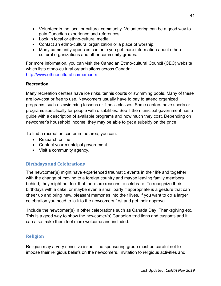- Volunteer in the local or cultural community. Volunteering can be a good way to gain Canadian experience and references.
- Look in local or ethno-cultural media.
- Contact an ethno-cultural organization or a place of worship.
- Many community agencies can help you get more information about ethnocultural organizations and other community groups.

For more information, you can visit the Canadian Ethno-cultural Council (CEC) website which lists ethno-cultural organizations across Canada: <http://www.ethnocultural.ca/members>

#### **Recreation**

Many recreation centers have ice rinks, tennis courts or swimming pools. Many of these are low-cost or free to use. Newcomers usually have to pay to attend organized programs, such as swimming lessons or fitness classes. Some centers have sports or programs specifically for people with disabilities. See if the municipal government has a guide with a description of available programs and how much they cost. Depending on newcomer's household income, they may be able to get a subsidy on the price.

To find a recreation center in the area, you can:

- Research online.
- Contact your municipal government.
- Visit a community agency.

#### **Birthdays and Celebrations**

The newcomer(s) might have experienced traumatic events in their life and together with the change of moving to a foreign country and maybe leaving family members behind; they might not feel that there are reasons to celebrate. To recognize their birthdays with a cake, or maybe even a small party if appropriate is a gesture that can cheer up and bring new, pleasant memories into their lives. If you want to do a larger celebration you need to talk to the newcomers first and get their approval.

Include the newcomer(s) in other celebrations such as Canada Day, Thanksgiving etc. This is a good way to show the newcomer(s) Canadian traditions and customs and it can also make them feel more welcome and included.

#### **Religion**

Religion may a very sensitive issue. The sponsoring group must be careful not to impose their religious beliefs on the newcomers. Invitation to religious activities and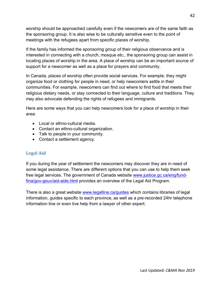worship should be approached carefully even if the newcomers are of the same faith as the sponsoring group. It is also wise to be culturally sensitive even to the point of meetings with the refugees apart from specific places of worship.

If the family has informed the sponsoring group of their religious observance and is interested in connecting with a church, mosque etc., the sponsoring group can assist in locating places of worship in the area. A place of worship can be an important source of support for a newcomer as well as a place for prayers and community.

In Canada, places of worship often provide social services. For example, they might organize food or clothing for people in need, or help newcomers settle in their communities. For example, newcomers can find out where to find food that meets their religious dietary needs, or stay connected to their language, culture and traditions. They may also advocate defending the rights of refugees and immigrants.

Here are some ways that you can help newcomers look for a place of worship in their area:

- Local or ethno-cultural media
- Contact an ethno-cultural organization.
- Talk to people in your community.
- Contact a settlement agency.

#### <span id="page-44-0"></span>**Legal Aid**

If you during the year of settlement the newcomers may discover they are in need of some legal assistance. There are different options that you can use to help them seek free legal services. The government of Canada website [www.justice.gc.ca/eng/fund](http://www.justice.gc.ca/eng/fund-fina/gov-gouv/aid-aide.html)[fina/gov-gouv/aid-aide.html](http://www.justice.gc.ca/eng/fund-fina/gov-gouv/aid-aide.html) provides an overview of the Legal Aid Program.

There is also a great website [www.legalline.ca/guides](http://www.legalline.ca/guides) which contains libraries of legal information, guides specific to each province, as well as a pre-recorded 24hr telephone information line or even live help from a lawyer of other expert.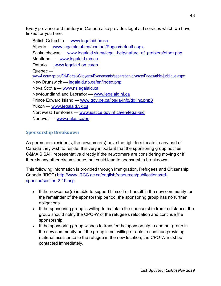Every province and territory in Canada also provides legal aid services which we have linked for you here:

British Columbia — [www.legalaid.bc.ca](http://www.legalaid.bc.ca/) Alberta — [www.legalaid.ab.ca/contact/Pages/default.aspx](http://www.legalaid.ab.ca/contact/Pages/default.aspx) Saskatchewan — [www.legalaid.sk.ca/legal\\_help/nature\\_of\\_problem/other.php](http://www.legalaid.sk.ca/legal_help/nature_of_problem/other.php) Manitoba — [www.legalaid.mb.ca](http://www.legalaid.mb.ca/) Ontario — [www.legalaid.on.ca/en](http://www.legalaid.on.ca/en) Quebec [www4.gouv.qc.ca/EN/Portail/Citoyens/Evenements/separation-divorce/Pages/aide-juridique.aspx](http://www4.gouv.qc.ca/EN/Portail/Citoyens/Evenements/separation-divorce/Pages/aide-juridique.aspx) New Brunswick — [legalaid.nb.ca/en/index.php](http://legalaid.nb.ca/en/index.php) Nova Scotia — [www.nslegalaid.ca](http://www.nslegalaid.ca/) Newfoundland and Labrador — [www.legalaid.nl.ca](http://www.legalaid.nl.ca/) Prince Edward Island — [www.gov.pe.ca/jps/la-info/dg.inc.php3](http://www.gov.pe.ca/jps/la-info/dg.inc.php3) Yukon — [www.legalaid.yk.ca](http://www.legalaid.yk.ca/)  Northwest Territories — [www.justice.gov.nt.ca/en/legal-aid](http://www.justice.gov.nt.ca/en/legal-aid) Nunavut — [www.nulas.ca/en](http://www.nulas.ca/en)

## <span id="page-45-0"></span>**Sponsorship Breakdown**

As permanent residents, the newcomer(s) have the right to relocate to any part of Canada they wish to reside. It is very important that the sponsoring group notifies C&MA'S SAH representative directly if the newcomers are considering moving or if there is any other circumstance that could lead to sponsorship breakdown.

This following information is provided through Immigration, Refugees and Citizenship Canada (IRCC) [http://www.IRCC.gc.ca/english/resources/publications/ref](http://www.cic.gc.ca/english/resources/publications/ref-sponsor/section-2-19.asp)[sponsor/section-2-19.asp](http://www.cic.gc.ca/english/resources/publications/ref-sponsor/section-2-19.asp)

- If the newcomer(s) is able to support himself or herself in the new community for the remainder of the sponsorship period, the sponsoring group has no further obligations.
- If the sponsoring group is willing to maintain the sponsorship from a distance, the group should notify the CPO-W of the refugee's relocation and continue the sponsorship.
- If the sponsoring group wishes to transfer the sponsorship to another group in the new community or if the group is not willing or able to continue providing material assistance to the refugee in the new location, the CPO-W must be contacted immediately.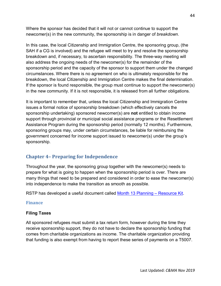Where the sponsor has decided that it will not or cannot continue to support the newcomer(s) in the new community, the sponsorship is in danger of *breakdown*.

In this case, the local Citizenship and Immigration Centre, the sponsoring group, (the SAH if a CG is involved) and the refugee will meet to try and resolve the sponsorship breakdown and, if necessary, to ascertain responsibility. The three-way meeting will also address the ongoing needs of the newcomer(s) for the remainder of the sponsorship period and the capacity of the sponsor to support them under the changed circumstances. Where there is no agreement on who is ultimately responsible for the breakdown, the local Citizenship and Immigration Centre makes the final determination. If the sponsor is found responsible, the group must continue to support the newcomer(s) in the new community. If it is not responsible, it is released from all further obligations.

It is important to remember that, unless the local Citizenship and Immigration Centre issues a formal notice of sponsorship breakdown (which effectively cancels the sponsorship undertaking) sponsored newcomer(s) are **not** entitled to obtain income support through provincial or municipal social assistance programs or the Resettlement Assistance Program during the sponsorship period (normally 12 months). Furthermore, sponsoring groups may, under certain circumstances, be liable for reimbursing the government concerned for income support issued to newcomer(s) under the group's sponsorship.

## <span id="page-46-0"></span>**Chapter 4– Preparing for Independence**

Throughout the year, the sponsoring group together with the newcomer(s) needs to prepare for what is going to happen when the sponsorship period is over. There are many things that need to be prepared and considered in order to ease the newcomer(s) into independence to make the transition as smooth as possible.

RSTP has developed a useful document called [Month 13 Planning –](http://www.rstp.ca/wp-content/uploads/2016/11/Month-13-Resource-Kit-v.1.4.pdf) Resource Kit.

#### <span id="page-46-1"></span>**Finance**

#### **Filing Taxes**

All sponsored refugees must submit a tax return form, however during the time they receive sponsorship support, they do not have to declare the sponsorship funding that comes from charitable organizations as income. The charitable organization providing that funding is also exempt from having to report these series of payments on a T5007.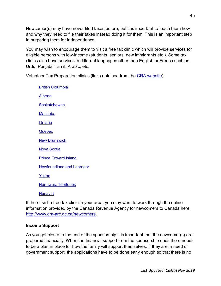Newcomer(s) may have never filed taxes before, but it is important to teach them how and why they need to file their taxes instead doing it for them. This is an important step in preparing them for independence.

You may wish to encourage them to visit a free tax clinic which will provide services for eligible persons with low-income (students, seniors, new immigrants etc.). Some tax clinics also have services in different languages other than English or French such as Urdu, Punjabi, Tamil, Arabic, etc.

Volunteer Tax Preparation clinics (links obtained from the [CRA website\)](http://www.cra-arc.gc.ca/tx/ndvdls/vlntr/clncs/menu-eng.html):

[British Columbia](http://www.cra-arc.gc.ca/tx/ndvdls/vlntr/clncs/bc-eng.html) [Alberta](http://www.cra-arc.gc.ca/tx/ndvdls/vlntr/clncs/ab-eng.html) **[Saskatchewan](http://www.cra-arc.gc.ca/tx/ndvdls/vlntr/clncs/sk-eng.html) [Manitoba](http://www.cra-arc.gc.ca/tx/ndvdls/vlntr/clncs/mb-eng.html) [Ontario](http://www.cra-arc.gc.ca/tx/ndvdls/vlntr/clncs/on-eng.html)** [Quebec](http://www.cra-arc.gc.ca/tx/ndvdls/vlntr/clncs/qc-eng.html) [New Brunswick](http://www.cra-arc.gc.ca/tx/ndvdls/vlntr/clncs/nb-eng.html) [Nova Scotia](http://www.cra-arc.gc.ca/tx/ndvdls/vlntr/clncs/ns-eng.html) [Prince Edward Island](http://www.cra-arc.gc.ca/tx/ndvdls/vlntr/clncs/pe-eng.html) [Newfoundland and Labrador](http://www.cra-arc.gc.ca/tx/ndvdls/vlntr/clncs/nl-eng.html) [Yukon](http://www.cra-arc.gc.ca/tx/ndvdls/vlntr/clncs/yt-eng.html) [Northwest Territories](http://www.cra-arc.gc.ca/tx/ndvdls/vlntr/clncs/nt-eng.html) [Nunavut](http://www.cra-arc.gc.ca/tx/ndvdls/vlntr/clncs/nu-eng.html)

If there isn't a free tax clinic in your area, you may want to work through the online information provided by the Canada Revenue Agency for newcomers to Canada here: [http://www.cra-arc.gc.ca/newcomers.](http://www.cra-arc.gc.ca/newcomers)

#### **Income Support**

As you get closer to the end of the sponsorship it is important that the newcomer(s) are prepared financially. When the financial support from the sponsorship ends there needs to be a plan in place for how the family will support themselves. If they are in need of government support, the applications have to be done early enough so that there is no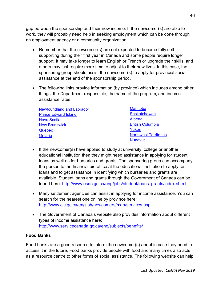gap between the sponsorship and their new income. If the newcomer(s) are able to work, they will probably need help in seeking employment which can be done through an employment agency or a community organization.

- Remember that the newcomer(s) are not expected to become fully selfsupporting during their first year in Canada and some people require longer support. It may take longer to learn English or French or upgrade their skills, and others may just require more time to adjust to their new lives. In this case, the sponsoring group should assist the newcomer(s) to apply for provincial social assistance at the end of the sponsorship period.
- The following links provide information (by province) which includes among other things: the Department responsible, the name of the program, and income assistance rates:

| <b>Newfoundland and Labrador</b> | <b>Manitoba</b>              |
|----------------------------------|------------------------------|
| <b>Prince Edward Island</b>      | <b>Saskatchewan</b>          |
| <b>Nova Scotia</b>               | Alberta                      |
| <b>New Brunswick</b>             | <b>British Columbia</b>      |
| Québec                           | Yukon                        |
| Ontario                          | <b>Northwest Territories</b> |
|                                  | <b>Nunavut</b>               |

- If the newcomer(s) have applied to study at university, college or another educational institution then they might need assistance in applying for student loans as well as for bursaries and grants. The sponsoring group can accompany the person to the financial aid office at the educational institution to apply for loans and to get assistance in identifying which bursaries and grants are available. Student loans and grants through the Government of Canada can be found here: [http://www.esdc.gc.ca/eng/jobs/student/loans\\_grants/index.shtml](http://www.esdc.gc.ca/eng/jobs/student/loans_grants/index.shtml)
- Many settlement agencies can assist in applying for income assistance. You can search for the nearest one online by province here: <http://www.cic.gc.ca/english/newcomers/map/services.asp>
- The Government of Canada's website also provides information about different types of income assistance here: <http://www.servicecanada.gc.ca/eng/subjects/benefits/>

#### **Food Banks**

Food banks are a good resource to inform the newcomer(s) about in case they need to access it in the future. Food banks provide people with food and many times also acts as a resource centre to other forms of social assistance. The following website can help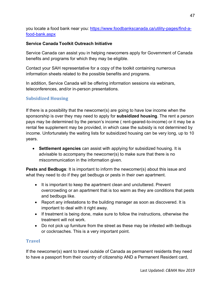<span id="page-49-0"></span>you locate a food bank near you: [https://www.foodbankscanada.ca/utility-pages/find-a](https://www.foodbankscanada.ca/utility-pages/find-a-food-bank.aspx)[food-bank.aspx](https://www.foodbankscanada.ca/utility-pages/find-a-food-bank.aspx)

#### **Service Canada Toolkit Outreach Initiative**

Service Canada can assist you in helping newcomers apply for Government of Canada benefits and programs for which they may be eligible.

Contact your SAH representative for a copy of the toolkit containing numerous information sheets related to the possible benefits and programs.

In addition, Service Canada will be offering information sessions via webinars, teleconferences, and/or in-person presentations.

## **Subsidized Housing**

If there is a possibility that the newcomer(s) are going to have low income when the sponsorship is over they may need to apply for **subsidized housing**. The rent a person pays may be determined by the person's income ( rent-geared-to-income) or it may be a rental fee supplement may be provided, in which case the subsidy is not determined by income. Unfortunately the waiting lists for subsidized housing can be very long, up to 10 years.

• **Settlement agencies** can assist with applying for subsidized housing. It is advisable to accompany the newcomer(s) to make sure that there is no miscommunication in the information given.

**Pests and Bedbugs**: It is important to inform the newcomer(s) about this issue and what they need to do if they get bedbugs or pests in their own apartment.

- It is important to keep the apartment clean and uncluttered. Prevent overcrowding or an apartment that is too warm as they are conditions that pests and bedbugs like.
- Report any infestations to the building manager as soon as discovered. It is important to deal with it right away.
- If treatment is being done, make sure to follow the instructions, otherwise the treatment will not work.
- Do not pick up furniture from the street as these may be infested with bedbugs or cockroaches. This is a very important point.

#### <span id="page-49-1"></span>**Travel**

If the newcomer(s) want to travel outside of Canada as permanent residents they need to have a passport from their country of citizenship AND a Permanent Resident card,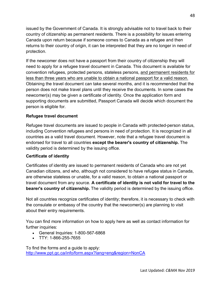issued by the Government of Canada. It is strongly advisable not to travel back to their country of citizenship as permanent residents. There is a possibility for issues entering Canada upon return because if someone comes to Canada as a refugee and then returns to their country of origin, it can be interpreted that they are no longer in need of protection.

If the newcomer does not have a passport from their country of citizenship they will need to apply for a refugee travel document in Canada. This document is available for convention refugees, protected persons, stateless persons, and permanent residents for less than three years who are unable to obtain a national passport for a valid reason. Obtaining the travel document can take several months, and it is recommended that the person does not make travel plans until they receive the documents. In some cases the newcomer(s) may be given a [certificate of identity.](http://www.ppt.gc.ca/pptc/documents.aspx?lang=eng#cofi) Once the application form and supporting documents are submitted, Passport Canada will decide which document the person is eligible for.

#### **Refugee travel document**

Refugee travel documents are issued to people in Canada with protected-person status, including Convention refugees and persons in need of protection. It is recognized in all countries as a valid travel document. However, note that a refugee travel document is endorsed for travel to all countries **except the bearer's country of citizenship.** The validity period is determined by the issuing office.

#### **Certificate of identity**

Certificates of identity are issued to permanent residents of Canada who are not yet Canadian citizens, and who, although not considered to have refugee status in Canada, are otherwise stateless or unable, for a valid reason, to obtain a national passport or travel document from any source. **A certificate of identity is not valid for travel to the bearer's country of citizenship.** The validity period is determined by the issuing office.

Not all countries recognize certificates of identity; therefore, it is necessary to check with the consulate or embassy of the country that the newcomer(s) are planning to visit about their entry requirements.

You can find more information on how to apply here as well as contact information for further inquiries:

- General Inquiries: 1-800-567-6868
- TTY: 1-866-255-7655

To find the forms and a guide to apply: [http://www.ppt.gc.ca/info/form.aspx?lang=eng&region=NonCA](http://www.ppt.gc.ca/info/form.aspx?lang=eng®ion=NonCA)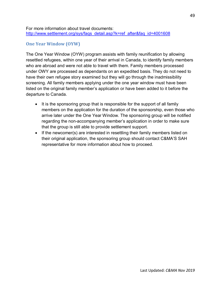#### For more information about travel documents: [http://www.settlement.org/sys/faqs\\_detail.asp?k=ref\\_after&faq\\_id=4001608](http://www.settlement.org/sys/faqs_detail.asp?k=ref_after&faq_id=4001608)

#### <span id="page-51-0"></span>**One Year Window (OYW)**

The One Year Window (OYW) program assists with family reunification by allowing resettled refugees, within one year of their arrival in Canada, to identify family members who are abroad and were not able to travel with them. Family members processed under OWY are processed as dependants on an expedited basis. They do not need to have their own refugee story examined but they will go through the inadmissibility screening. All family members applying under the one year window must have been listed on the original family member's application or have been added to it before the departure to Canada.

- It is the sponsoring group that is responsible for the support of all family members on the application for the duration of the sponsorship, even those who arrive later under the One Year Window. The sponsoring group will be notified regarding the non-accompanying member's application in order to make sure that the group is still able to provide settlement support.
- If the newcomer(s) are interested in resettling their family members listed on their original application, the sponsoring group should contact C&MA'S SAH representative for more information about how to proceed.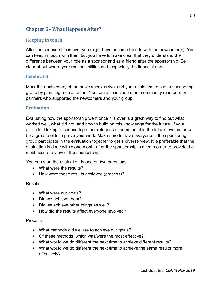## <span id="page-52-0"></span>**Chapter 5– What Happens After?**

#### <span id="page-52-1"></span>**Keeping in touch**

After the sponsorship is over you might have become friends with the newcomer(s). You can keep in touch with them but you have to make clear that they understand the difference between your role as a sponsor and as a friend after the sponsorship. Be clear about where your responsibilities end, especially the financial ones.

#### <span id="page-52-2"></span>**Celebrate!**

Mark the anniversary of the newcomers' arrival and your achievements as a sponsoring group by planning a celebration. You can also include other community members or partners who supported the newcomers and your group.

#### <span id="page-52-3"></span>**Evaluation**

Evaluating how the sponsorship went once it is over is a great way to find out what worked well, what did not, and how to build on this knowledge for the future. If your group is thinking of sponsoring other refugees at some point in the future, evaluation will be a great tool to improve your work. Make sure to have everyone in the sponsoring group participate in the evaluation together to get a diverse view. It is preferable that the evaluation is done within one month after the sponsorship is over in order to provide the most accurate view of the sponsorship.

You can start the evaluation based on two questions:

- What were the results?
- How were these results achieved (process)?

Results:

- What were our goals?
- Did we achieve them?
- Did we achieve other things as well?
- How did the results affect everyone involved?

Process:

- What methods did we use to achieve our goals?
- Of these methods, which was/were the most effective?
- What would we do different the next time to achieve different results?
- What would we do different the next time to achieve the same results more effectively?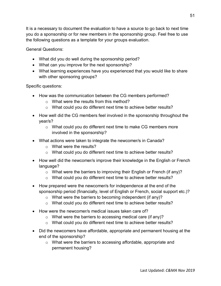It is a necessary to document the evaluation to have a source to go back to next time you do a sponsorship or for new members in the sponsorship group. Feel free to use the following questions as a template for your groups evaluation.

General Questions:

- What did you do well during the sponsorship period?
- What can you improve for the next sponsorship?
- What learning experiences have you experienced that you would like to share with other sponsoring groups?

Specific questions:

- How was the communication between the CG members performed?
	- o What were the results from this method?
	- o What could you do different next time to achieve better results?
- How well did the CG members feel involved in the sponsorship throughout the year/s?
	- o What could you do different next time to make CG members more involved in the sponsorship?
- What actions were taken to integrate the newcomer/s in Canada?
	- o What were the results?
	- $\circ$  What could you do different next time to achieve better results?
- How well did the newcomer/s improve their knowledge in the English or French language?
	- $\circ$  What were the barriers to improving their English or French (if any)?
	- o What could you do different next time to achieve better results?
- How prepared were the newcomer/s for independence at the end of the sponsorship period (financially, level of English or French, social support etc.)?
	- $\circ$  What were the barriers to becoming independent (if any)?
	- o What could you do different next time to achieve better results?
- How were the newcomer/s medical issues taken care of?
	- $\circ$  What were the barriers to accessing medical care (if any)?
	- o What could you do different next time to achieve better results?
- Did the newcomers have affordable, appropriate and permanent housing at the end of the sponsorship?
	- o What were the barriers to accessing affordable, appropriate and permanent housing?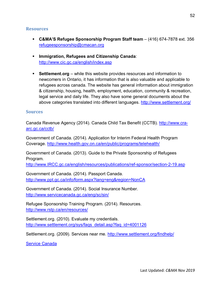#### <span id="page-54-0"></span>**Resources**

- **C&MA'S Refugee Sponsorship Program Staff team** (416) 674-7878 ext. 356 [refugeesponsorship@cmacan.org](mailto:refugeesponsorship@cmacan.org)
- **Immigration, Refugees and Citizenship Canada**: <http://www.cic.gc.ca/english/index.asp>
- **Settlement.org** while this website provides resources and information to newcomers in Ontario, it has information that is also valuable and applicable to refugees across canada. The website has general information about immigration & citizenship, housing, health, employment, education, community & recreation, legal service and daily life. They also have some general documents about the above categories translated into different languages.<http://www.settlement.org/>

#### <span id="page-54-1"></span>**Sources**

Canada Revenue Agency (2014). Canada Child Tax Benefit (CCTB). [http://www.cra](http://www.cra-arc.gc.ca/cctb/)[arc.gc.ca/cctb/](http://www.cra-arc.gc.ca/cctb/)

Government of Canada. (2014). Application for Interim Federal Health Program Coverage.<http://www.health.gov.on.ca/en/public/programs/telehealth/>

Government of Canada. (2013). Guide to the Private Sponsorship of Refugees Program.

[http://www.IRCC.gc.ca/english/resources/publications/ref-sponsor/section-2-19.asp](http://www.cic.gc.ca/english/resources/publications/ref-sponsor/section-2-19.asp)

Government of Canada. (2014). Passport Canada. [http://www.ppt.gc.ca/info/form.aspx?lang=eng&region=NonCA](http://www.ppt.gc.ca/info/form.aspx?lang=eng®ion=NonCA)

Government of Canada. (2014). Social Insurance Number. <http://www.servicecanada.gc.ca/eng/sc/sin/>

Refugee Sponsorship Training Program. (2014). Resources. <http://www.rstp.ca/en/resources/>

Settlement.org. (2010). Evaluate my credentials. [http://www.settlement.org/sys/faqs\\_detail.asp?faq\\_id=4001126](http://www.settlement.org/sys/faqs_detail.asp?faq_id=4001126)

Settlement.org. (2009). Services near me.<http://www.settlement.org/findhelp/>

[Service Canada](http://www.esdc.gc.ca/en/esdc/service_canada/index.page)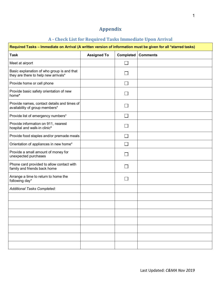## **Appendix**

## **A - Check List for Required Tasks Immediate Upon Arrival**

<span id="page-55-1"></span><span id="page-55-0"></span>F

| Required Tasks - Immediate on Arrival (A written version of information must be given for all *starred tasks) |                    |                 |                 |  |
|---------------------------------------------------------------------------------------------------------------|--------------------|-----------------|-----------------|--|
| <b>Task</b>                                                                                                   | <b>Assigned To</b> | Completed       | <b>Comments</b> |  |
| Meet at airport                                                                                               |                    | $\Box$          |                 |  |
| Basic explanation of who group is and that<br>they are there to help new arrivals*                            |                    |                 |                 |  |
| Provide home or cell phone                                                                                    |                    | $\Box$          |                 |  |
| Provide basic safety orientation of new<br>home*                                                              |                    | <b>Contract</b> |                 |  |
| Provide names, contact details and times of<br>availability of group members*                                 |                    |                 |                 |  |
| Provide list of emergency numbers*                                                                            |                    | $\Box$          |                 |  |
| Provide information on 911, nearest<br>hospital and walk-in clinic*                                           |                    |                 |                 |  |
| Provide food staples and/or premade meals                                                                     |                    | $\Box$          |                 |  |
| Orientation of appliances in new home*                                                                        |                    | $\Box$          |                 |  |
| Provide a small amount of money for<br>unexpected purchases                                                   |                    | <b>Contract</b> |                 |  |
| Phone card provided to allow contact with<br>family and friends back home                                     |                    |                 |                 |  |
| Arrange a time to return to home the<br>following day*                                                        |                    |                 |                 |  |
| Additional Tasks Completed:                                                                                   |                    |                 |                 |  |
|                                                                                                               |                    |                 |                 |  |
|                                                                                                               |                    |                 |                 |  |
|                                                                                                               |                    |                 |                 |  |
|                                                                                                               |                    |                 |                 |  |
|                                                                                                               |                    |                 |                 |  |
|                                                                                                               |                    |                 |                 |  |
|                                                                                                               |                    |                 |                 |  |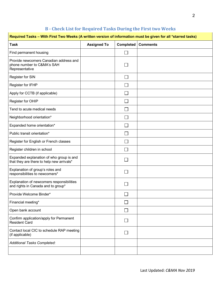## **B - Check List for Required Tasks During the First two Weeks**

<span id="page-56-0"></span>

| Required Tasks - With First Two Weeks (A written version of information must be given for all *starred tasks) |                    |                   |                 |  |
|---------------------------------------------------------------------------------------------------------------|--------------------|-------------------|-----------------|--|
| <b>Task</b>                                                                                                   | <b>Assigned To</b> | <b>Completed</b>  | <b>Comments</b> |  |
| Find permanent housing                                                                                        |                    |                   |                 |  |
| Provide newcomers Canadian address and<br>phone number to C&MA's SAH<br>Representative                        |                    |                   |                 |  |
| Register for SIN                                                                                              |                    | $\mathsf{L}$      |                 |  |
| Register for IFHP                                                                                             |                    | L.                |                 |  |
| Apply for CCTB (if applicable)                                                                                |                    | $\vert \ \ \vert$ |                 |  |
| Register for OHIP                                                                                             |                    |                   |                 |  |
| Tend to acute medical needs                                                                                   |                    |                   |                 |  |
| Neighborhood orientation*                                                                                     |                    |                   |                 |  |
| Expanded home orientation*                                                                                    |                    | $\mathsf{L}$      |                 |  |
| Public transit orientation*                                                                                   |                    | $\vert \ \ \vert$ |                 |  |
| Register for English or French classes                                                                        |                    | $\Box$            |                 |  |
| Register children in school                                                                                   |                    | $\mathbb{R}^n$    |                 |  |
| Expanded explanation of who group is and<br>that they are there to help new arrivals*                         |                    |                   |                 |  |
| Explanation of group's roles and<br>responsibilities to newcomers*                                            |                    |                   |                 |  |
| Explanation of newcomers responsibilities<br>and rights in Canada and to group*                               |                    |                   |                 |  |
| Provide Welcome Binder*                                                                                       |                    |                   |                 |  |
| Financial meeting*                                                                                            |                    |                   |                 |  |
| Open bank account                                                                                             |                    |                   |                 |  |
| Confirm application/apply for Permanent<br><b>Resident Card</b>                                               |                    |                   |                 |  |
| Contact local CIC to schedule RAP meeting<br>(if applicable)                                                  |                    |                   |                 |  |
| Additional Tasks Completed:                                                                                   |                    |                   |                 |  |
|                                                                                                               |                    |                   |                 |  |